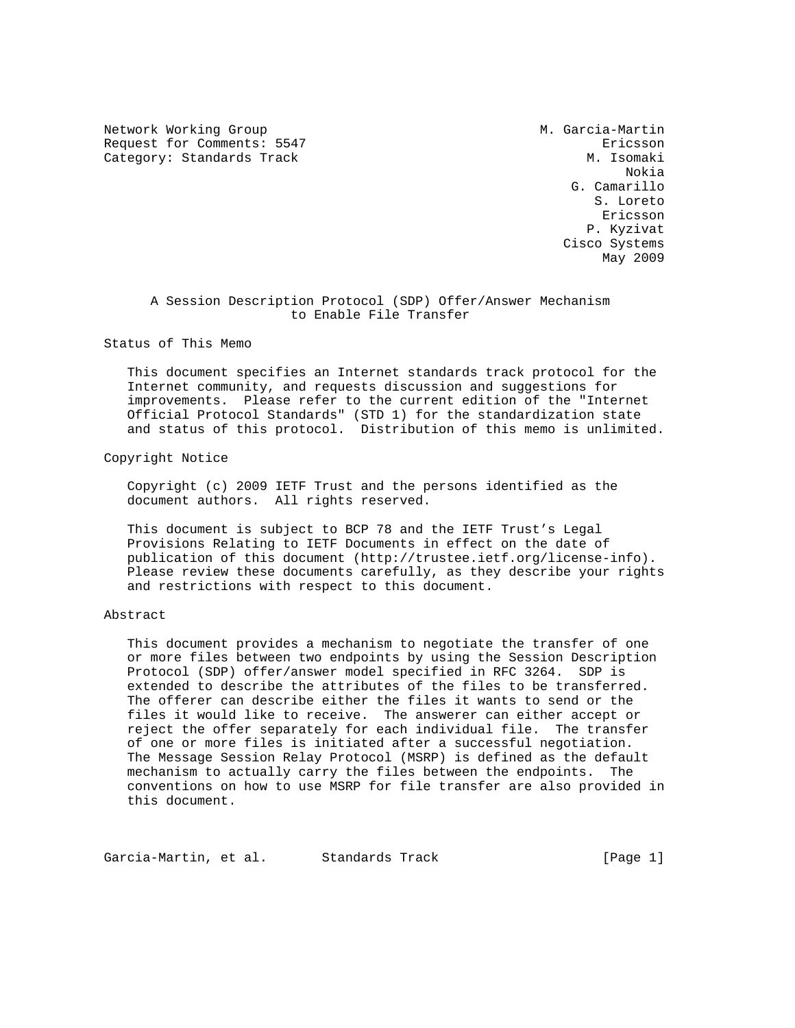Network Working Group M. Garcia-Martin Request for Comments: 5547 Ericsson Category: Standards Track M. Isomaki

 Nokia G. Camarillo S. Loreto eric and the contract of the contract of the contract of the contract of the contract of the contract of the contract of the contract of the contract of the contract of the contract of the contract of the contract of the c P. Kyzivat Cisco Systems May 2009

 A Session Description Protocol (SDP) Offer/Answer Mechanism to Enable File Transfer

Status of This Memo

 This document specifies an Internet standards track protocol for the Internet community, and requests discussion and suggestions for improvements. Please refer to the current edition of the "Internet Official Protocol Standards" (STD 1) for the standardization state and status of this protocol. Distribution of this memo is unlimited.

Copyright Notice

 Copyright (c) 2009 IETF Trust and the persons identified as the document authors. All rights reserved.

 This document is subject to BCP 78 and the IETF Trust's Legal Provisions Relating to IETF Documents in effect on the date of publication of this document (http://trustee.ietf.org/license-info). Please review these documents carefully, as they describe your rights and restrictions with respect to this document.

## Abstract

 This document provides a mechanism to negotiate the transfer of one or more files between two endpoints by using the Session Description Protocol (SDP) offer/answer model specified in RFC 3264. SDP is extended to describe the attributes of the files to be transferred. The offerer can describe either the files it wants to send or the files it would like to receive. The answerer can either accept or reject the offer separately for each individual file. The transfer of one or more files is initiated after a successful negotiation. The Message Session Relay Protocol (MSRP) is defined as the default mechanism to actually carry the files between the endpoints. The conventions on how to use MSRP for file transfer are also provided in this document.

Garcia-Martin, et al. Standards Track [Page 1]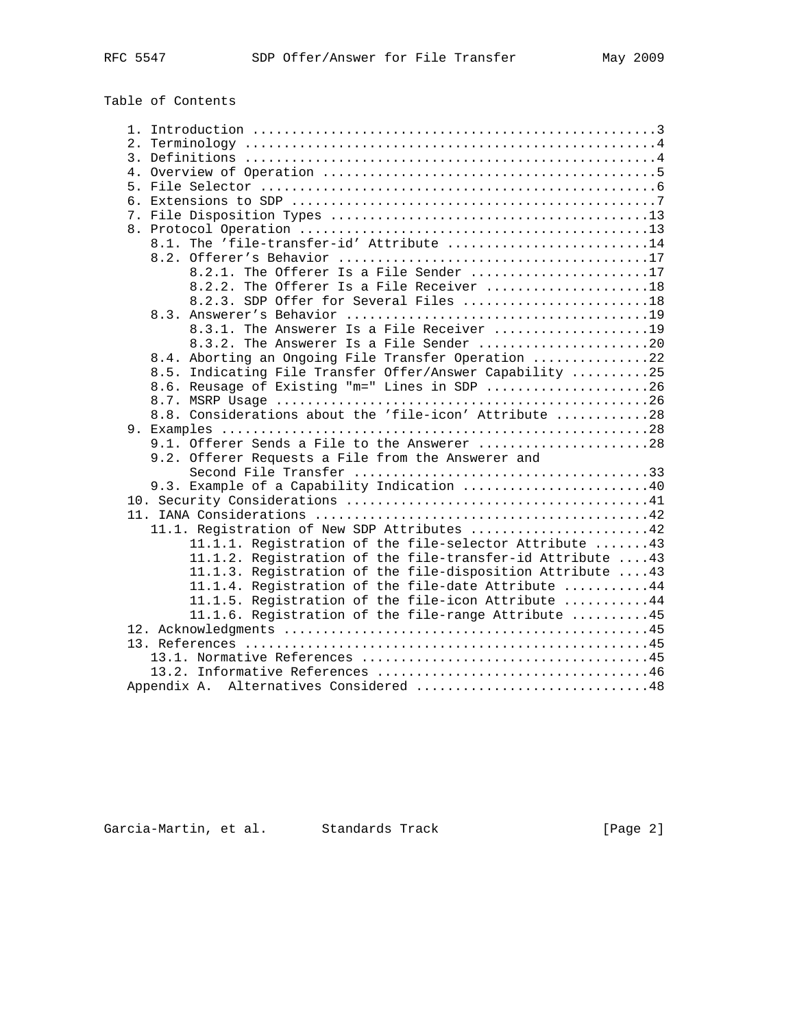Table of Contents

|  | 8.1. The 'file-transfer-id' Attribute 14                   |
|--|------------------------------------------------------------|
|  |                                                            |
|  | 8.2.1. The Offerer Is a File Sender 17                     |
|  | 8.2.2. The Offerer Is a File Receiver 18                   |
|  | 8.2.3. SDP Offer for Several Files 18                      |
|  |                                                            |
|  | $8.3.1$ . The Answerer Is a File Receiver 19               |
|  | 8.3.2. The Answerer Is a File Sender 20                    |
|  | 8.4. Aborting an Ongoing File Transfer Operation 22        |
|  | 8.5. Indicating File Transfer Offer/Answer Capability 25   |
|  | 8.6. Reusage of Existing "m=" Lines in SDP 26              |
|  |                                                            |
|  | 8.8. Considerations about the 'file-icon' Attribute 28     |
|  |                                                            |
|  | 9.1. Offerer Sends a File to the Answerer 28               |
|  | 9.2. Offerer Requests a File from the Answerer and         |
|  |                                                            |
|  | 9.3. Example of a Capability Indication 40                 |
|  |                                                            |
|  |                                                            |
|  | 11.1. Registration of New SDP Attributes 42                |
|  | 11.1.1. Registration of the file-selector Attribute  43    |
|  | 11.1.2. Registration of the file-transfer-id Attribute  43 |
|  | 11.1.3. Registration of the file-disposition Attribute  43 |
|  | 11.1.4. Registration of the file-date Attribute 44         |
|  | 11.1.5. Registration of the file-icon Attribute 44         |
|  | 11.1.6. Registration of the file-range Attribute 45        |
|  |                                                            |
|  |                                                            |
|  |                                                            |
|  |                                                            |
|  | Alternatives Considered 48<br>Appendix A.                  |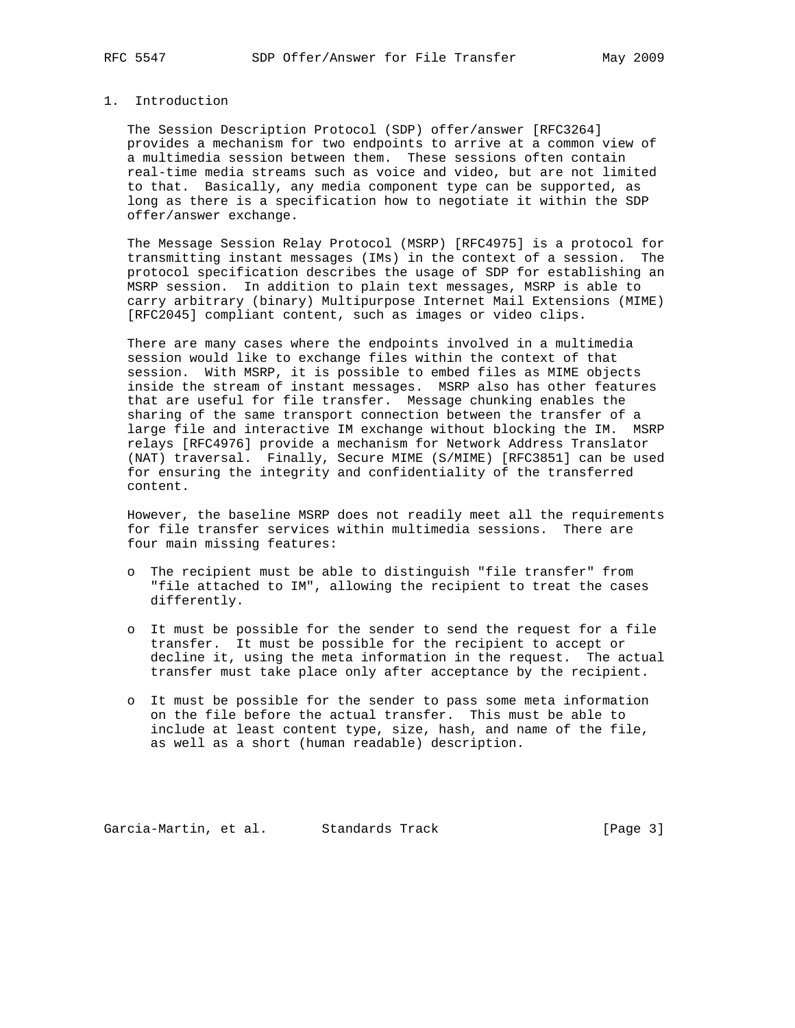## 1. Introduction

 The Session Description Protocol (SDP) offer/answer [RFC3264] provides a mechanism for two endpoints to arrive at a common view of a multimedia session between them. These sessions often contain real-time media streams such as voice and video, but are not limited to that. Basically, any media component type can be supported, as long as there is a specification how to negotiate it within the SDP offer/answer exchange.

 The Message Session Relay Protocol (MSRP) [RFC4975] is a protocol for transmitting instant messages (IMs) in the context of a session. The protocol specification describes the usage of SDP for establishing an MSRP session. In addition to plain text messages, MSRP is able to carry arbitrary (binary) Multipurpose Internet Mail Extensions (MIME) [RFC2045] compliant content, such as images or video clips.

 There are many cases where the endpoints involved in a multimedia session would like to exchange files within the context of that session. With MSRP, it is possible to embed files as MIME objects inside the stream of instant messages. MSRP also has other features that are useful for file transfer. Message chunking enables the sharing of the same transport connection between the transfer of a large file and interactive IM exchange without blocking the IM. MSRP relays [RFC4976] provide a mechanism for Network Address Translator (NAT) traversal. Finally, Secure MIME (S/MIME) [RFC3851] can be used for ensuring the integrity and confidentiality of the transferred content.

 However, the baseline MSRP does not readily meet all the requirements for file transfer services within multimedia sessions. There are four main missing features:

- o The recipient must be able to distinguish "file transfer" from "file attached to IM", allowing the recipient to treat the cases differently.
- o It must be possible for the sender to send the request for a file transfer. It must be possible for the recipient to accept or decline it, using the meta information in the request. The actual transfer must take place only after acceptance by the recipient.
- o It must be possible for the sender to pass some meta information on the file before the actual transfer. This must be able to include at least content type, size, hash, and name of the file, as well as a short (human readable) description.

Garcia-Martin, et al. Standards Track [Page 3]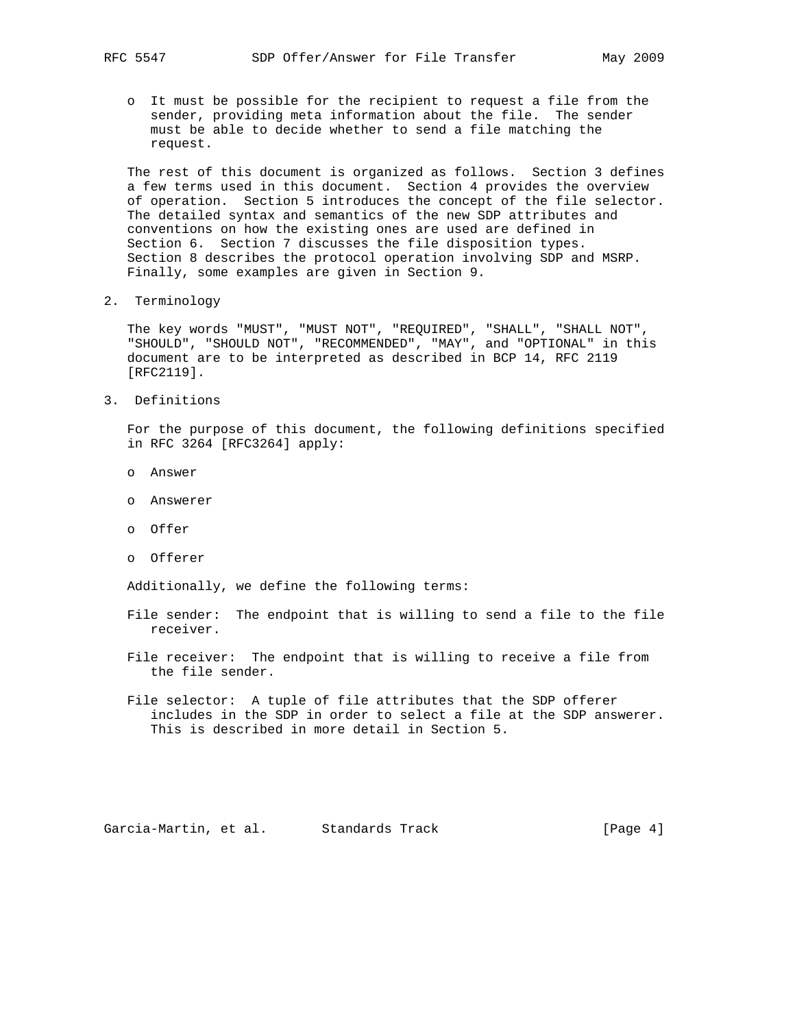o It must be possible for the recipient to request a file from the sender, providing meta information about the file. The sender

 must be able to decide whether to send a file matching the request.

 The rest of this document is organized as follows. Section 3 defines a few terms used in this document. Section 4 provides the overview of operation. Section 5 introduces the concept of the file selector. The detailed syntax and semantics of the new SDP attributes and conventions on how the existing ones are used are defined in Section 6. Section 7 discusses the file disposition types. Section 8 describes the protocol operation involving SDP and MSRP. Finally, some examples are given in Section 9.

2. Terminology

 The key words "MUST", "MUST NOT", "REQUIRED", "SHALL", "SHALL NOT", "SHOULD", "SHOULD NOT", "RECOMMENDED", "MAY", and "OPTIONAL" in this document are to be interpreted as described in BCP 14, RFC 2119 [RFC2119].

3. Definitions

 For the purpose of this document, the following definitions specified in RFC 3264 [RFC3264] apply:

- o Answer
- o Answerer
- o Offer
- o Offerer

Additionally, we define the following terms:

- File sender: The endpoint that is willing to send a file to the file receiver.
- File receiver: The endpoint that is willing to receive a file from the file sender.
- File selector: A tuple of file attributes that the SDP offerer includes in the SDP in order to select a file at the SDP answerer. This is described in more detail in Section 5.

Garcia-Martin, et al. Standards Track [Page 4]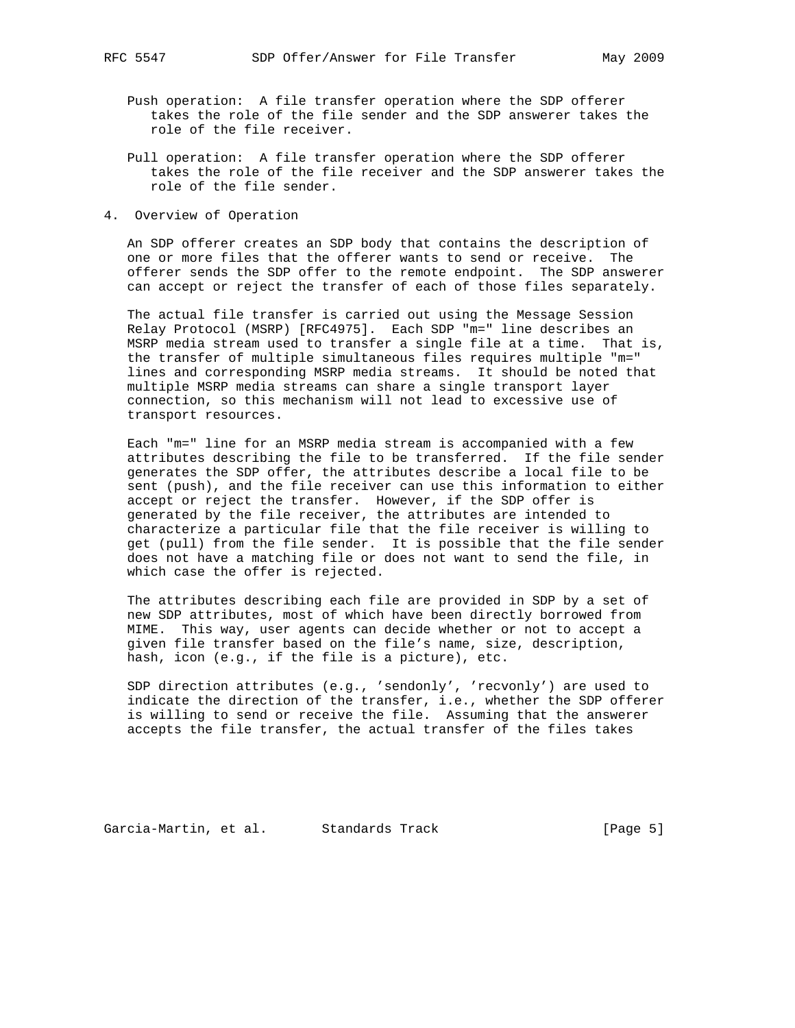- Push operation: A file transfer operation where the SDP offerer takes the role of the file sender and the SDP answerer takes the role of the file receiver.
- Pull operation: A file transfer operation where the SDP offerer takes the role of the file receiver and the SDP answerer takes the role of the file sender.
- 4. Overview of Operation

 An SDP offerer creates an SDP body that contains the description of one or more files that the offerer wants to send or receive. The offerer sends the SDP offer to the remote endpoint. The SDP answerer can accept or reject the transfer of each of those files separately.

 The actual file transfer is carried out using the Message Session Relay Protocol (MSRP) [RFC4975]. Each SDP "m=" line describes an MSRP media stream used to transfer a single file at a time. That is, the transfer of multiple simultaneous files requires multiple "m=" lines and corresponding MSRP media streams. It should be noted that multiple MSRP media streams can share a single transport layer connection, so this mechanism will not lead to excessive use of transport resources.

 Each "m=" line for an MSRP media stream is accompanied with a few attributes describing the file to be transferred. If the file sender generates the SDP offer, the attributes describe a local file to be sent (push), and the file receiver can use this information to either accept or reject the transfer. However, if the SDP offer is generated by the file receiver, the attributes are intended to characterize a particular file that the file receiver is willing to get (pull) from the file sender. It is possible that the file sender does not have a matching file or does not want to send the file, in which case the offer is rejected.

 The attributes describing each file are provided in SDP by a set of new SDP attributes, most of which have been directly borrowed from MIME. This way, user agents can decide whether or not to accept a given file transfer based on the file's name, size, description, hash, icon (e.g., if the file is a picture), etc.

 SDP direction attributes (e.g., 'sendonly', 'recvonly') are used to indicate the direction of the transfer, i.e., whether the SDP offerer is willing to send or receive the file. Assuming that the answerer accepts the file transfer, the actual transfer of the files takes

Garcia-Martin, et al. Standards Track [Page 5]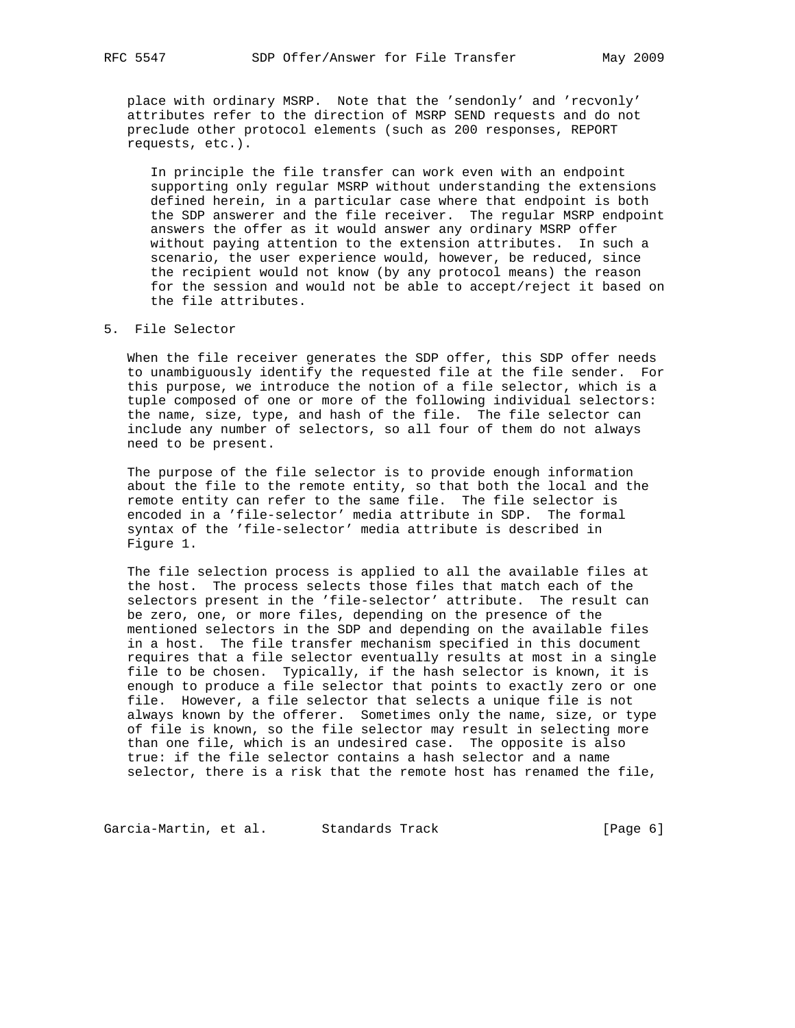place with ordinary MSRP. Note that the 'sendonly' and 'recvonly' attributes refer to the direction of MSRP SEND requests and do not preclude other protocol elements (such as 200 responses, REPORT requests, etc.).

 In principle the file transfer can work even with an endpoint supporting only regular MSRP without understanding the extensions defined herein, in a particular case where that endpoint is both the SDP answerer and the file receiver. The regular MSRP endpoint answers the offer as it would answer any ordinary MSRP offer without paying attention to the extension attributes. In such a scenario, the user experience would, however, be reduced, since the recipient would not know (by any protocol means) the reason for the session and would not be able to accept/reject it based on the file attributes.

5. File Selector

 When the file receiver generates the SDP offer, this SDP offer needs to unambiguously identify the requested file at the file sender. For this purpose, we introduce the notion of a file selector, which is a tuple composed of one or more of the following individual selectors: the name, size, type, and hash of the file. The file selector can include any number of selectors, so all four of them do not always need to be present.

 The purpose of the file selector is to provide enough information about the file to the remote entity, so that both the local and the remote entity can refer to the same file. The file selector is encoded in a 'file-selector' media attribute in SDP. The formal syntax of the 'file-selector' media attribute is described in Figure 1.

 The file selection process is applied to all the available files at the host. The process selects those files that match each of the selectors present in the 'file-selector' attribute. The result can be zero, one, or more files, depending on the presence of the mentioned selectors in the SDP and depending on the available files in a host. The file transfer mechanism specified in this document requires that a file selector eventually results at most in a single file to be chosen. Typically, if the hash selector is known, it is enough to produce a file selector that points to exactly zero or one file. However, a file selector that selects a unique file is not always known by the offerer. Sometimes only the name, size, or type of file is known, so the file selector may result in selecting more than one file, which is an undesired case. The opposite is also true: if the file selector contains a hash selector and a name selector, there is a risk that the remote host has renamed the file,

Garcia-Martin, et al. Standards Track [Page 6]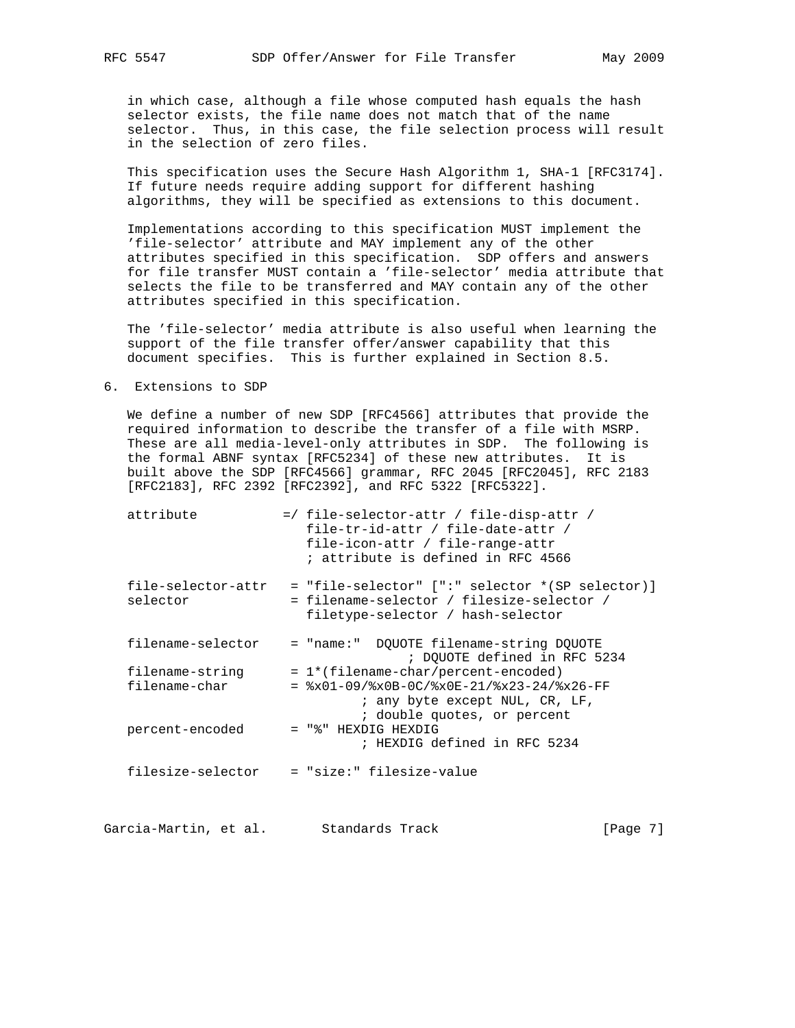in which case, although a file whose computed hash equals the hash selector exists, the file name does not match that of the name selector. Thus, in this case, the file selection process will result in the selection of zero files.

 This specification uses the Secure Hash Algorithm 1, SHA-1 [RFC3174]. If future needs require adding support for different hashing algorithms, they will be specified as extensions to this document.

 Implementations according to this specification MUST implement the 'file-selector' attribute and MAY implement any of the other attributes specified in this specification. SDP offers and answers for file transfer MUST contain a 'file-selector' media attribute that selects the file to be transferred and MAY contain any of the other attributes specified in this specification.

 The 'file-selector' media attribute is also useful when learning the support of the file transfer offer/answer capability that this document specifies. This is further explained in Section 8.5.

6. Extensions to SDP

 We define a number of new SDP [RFC4566] attributes that provide the required information to describe the transfer of a file with MSRP. These are all media-level-only attributes in SDP. The following is the formal ABNF syntax [RFC5234] of these new attributes. It is built above the SDP [RFC4566] grammar, RFC 2045 [RFC2045], RFC 2183 [RFC2183], RFC 2392 [RFC2392], and RFC 5322 [RFC5322].

| attribute          | =/ file-selector-attr / file-disp-attr /<br>file-tr-id-attr / file-date-attr /<br>file-icon-attr / file-range-attr<br>; attribute is defined in RFC 4566 |
|--------------------|----------------------------------------------------------------------------------------------------------------------------------------------------------|
| file-selector-attr | = "file-selector" [":" selector *(SP selector)]                                                                                                          |
| selector           | = filename-selector / filesize-selector /                                                                                                                |
|                    | filetype-selector / hash-selector                                                                                                                        |
| filename-selector  | = "name:" DQUOTE filename-string DQUOTE                                                                                                                  |
|                    | ; DQUOTE defined in RFC 5234                                                                                                                             |
| filename-string    | = 1*(filename-char/percent-encoded)                                                                                                                      |
| filename-char      | $=$ $x01-09$ / $x0B-0C$ / $x0E-21$ / $x23-24$ / $x26-FF$                                                                                                 |
|                    | ; any byte except NUL, CR, LF,                                                                                                                           |
|                    | ; double quotes, or percent                                                                                                                              |
| percent-encoded    | $=$ "%" HEXDIG HEXDIG                                                                                                                                    |
|                    | ; HEXDIG defined in RFC 5234                                                                                                                             |
| filesize-selector  | = "size:" filesize-value                                                                                                                                 |
|                    |                                                                                                                                                          |
|                    |                                                                                                                                                          |
|                    |                                                                                                                                                          |

Garcia-Martin, et al. Standards Track [Page 7]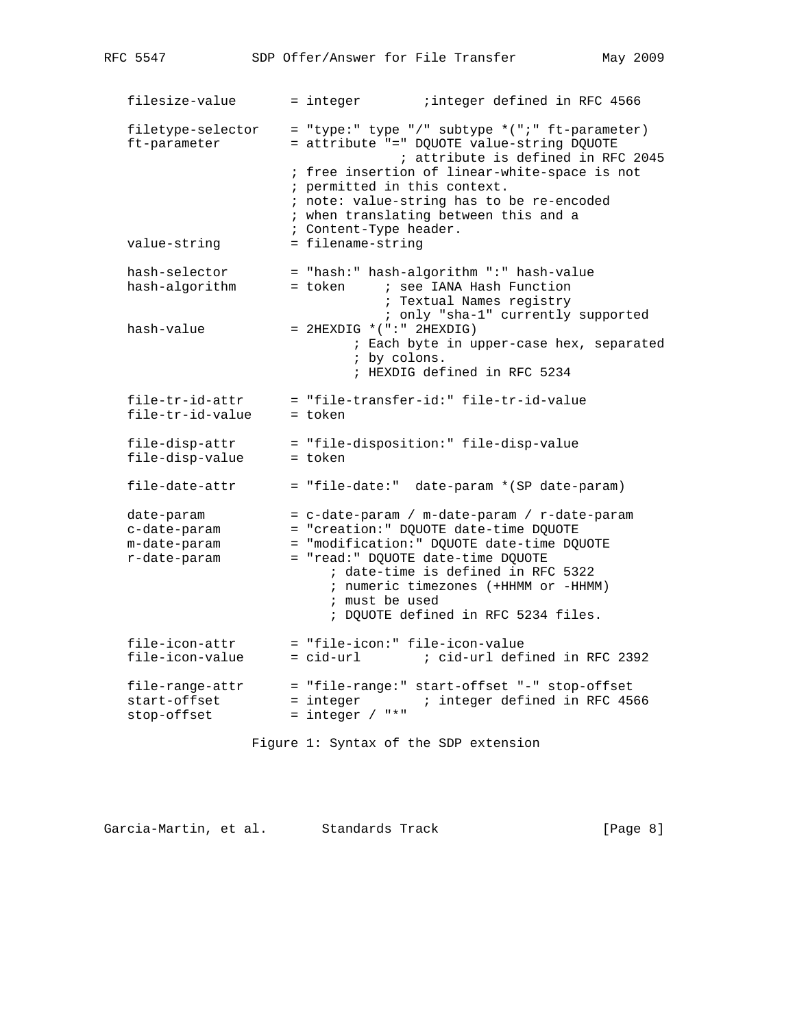filesize-value = integer integer defined in RFC 4566 filetype-selector = "type:" type "/" subtype \*(";" ft-parameter) ft-parameter = attribute "=" DQUOTE value-string DQUOTE ; attribute is defined in RFC 2045 ; free insertion of linear-white-space is not ; permitted in this context. ; note: value-string has to be re-encoded ; when translating between this and a ; Content-Type header. value-string = filename-string hash-selector = "hash:" hash-algorithm ":" hash-value<br>hash-algorithm = token ; see IANA Hash Function = token ; see IANA Hash Function ; Textual Names registry ; only "sha-1" currently supported  $has \texttt{h} \texttt{-value} \qquad \qquad = \texttt{2HEXDIG} \; \star (\texttt{ " : " } \texttt{2HEXDIG})$  ; Each byte in upper-case hex, separated ; by colons. ; HEXDIG defined in RFC 5234 file-tr-id-attr = "file-transfer-id:" file-tr-id-value file-tr-id-value = token file-disp-attr = "file-disposition:" file-disp-value file-disp-value = token file-date-attr = "file-date:" date-param \*(SP date-param) date-param = c-date-param / m-date-param / r-date-param c-date-param = "creation:" DQUOTE date-time DQUOTE m-date-param = "modification:" DQUOTE date-time DQUOTE r-date-param = "read:" DQUOTE date-time DQUOTE ; date-time is defined in RFC 5322 ; numeric timezones (+HHMM or -HHMM) ; must be used ; DQUOTE defined in RFC 5234 files. file-icon-attr = "file-icon:" file-icon-value file-icon-value = cid-url ; cid-url defined in RFC 2392 file-range-attr = "file-range:" start-offset "-" stop-offset start-offset = integer ; integer defined in RFC 4566 stop-offset = integer / "\*" Figure 1: Syntax of the SDP extension

Garcia-Martin, et al. Standards Track (Page 8)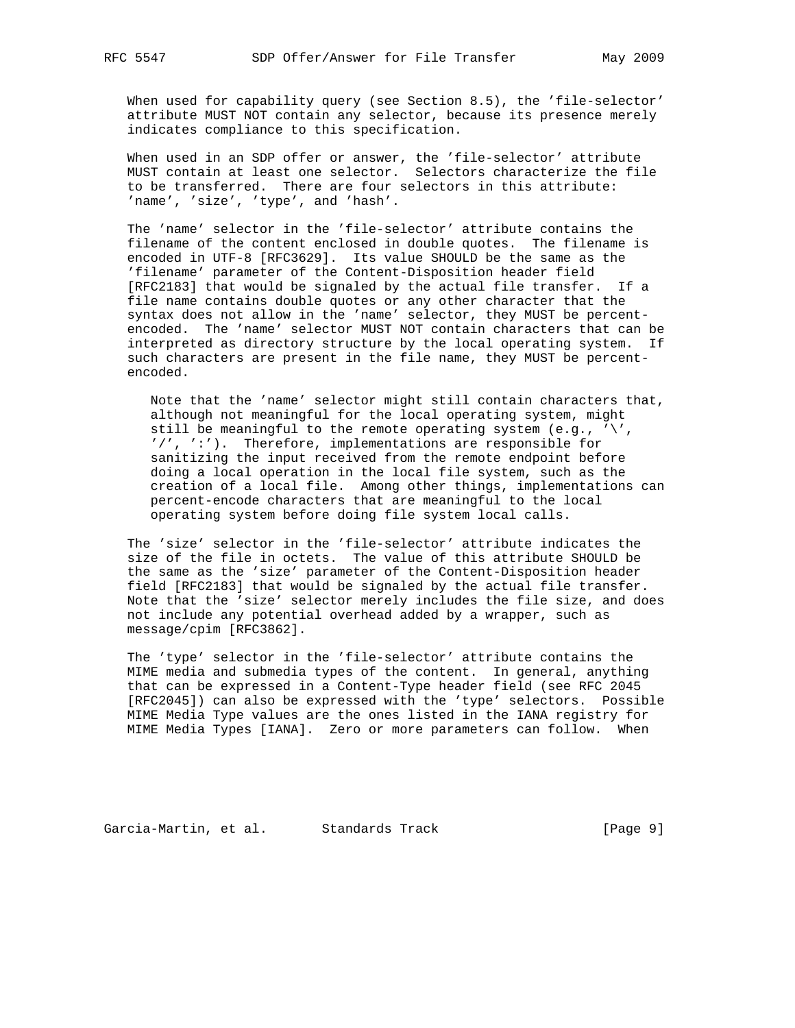When used for capability query (see Section 8.5), the 'file-selector' attribute MUST NOT contain any selector, because its presence merely indicates compliance to this specification.

 When used in an SDP offer or answer, the 'file-selector' attribute MUST contain at least one selector. Selectors characterize the file to be transferred. There are four selectors in this attribute: 'name', 'size', 'type', and 'hash'.

 The 'name' selector in the 'file-selector' attribute contains the filename of the content enclosed in double quotes. The filename is encoded in UTF-8 [RFC3629]. Its value SHOULD be the same as the 'filename' parameter of the Content-Disposition header field [RFC2183] that would be signaled by the actual file transfer. If a file name contains double quotes or any other character that the syntax does not allow in the 'name' selector, they MUST be percent encoded. The 'name' selector MUST NOT contain characters that can be interpreted as directory structure by the local operating system. If such characters are present in the file name, they MUST be percent encoded.

 Note that the 'name' selector might still contain characters that, although not meaningful for the local operating system, might still be meaningful to the remote operating system (e.g.,  $'\)'$ , '/', ':'). Therefore, implementations are responsible for sanitizing the input received from the remote endpoint before doing a local operation in the local file system, such as the creation of a local file. Among other things, implementations can percent-encode characters that are meaningful to the local operating system before doing file system local calls.

 The 'size' selector in the 'file-selector' attribute indicates the size of the file in octets. The value of this attribute SHOULD be the same as the 'size' parameter of the Content-Disposition header field [RFC2183] that would be signaled by the actual file transfer. Note that the 'size' selector merely includes the file size, and does not include any potential overhead added by a wrapper, such as message/cpim [RFC3862].

 The 'type' selector in the 'file-selector' attribute contains the MIME media and submedia types of the content. In general, anything that can be expressed in a Content-Type header field (see RFC 2045 [RFC2045]) can also be expressed with the 'type' selectors. Possible MIME Media Type values are the ones listed in the IANA registry for MIME Media Types [IANA]. Zero or more parameters can follow. When

Garcia-Martin, et al. Standards Track [Page 9]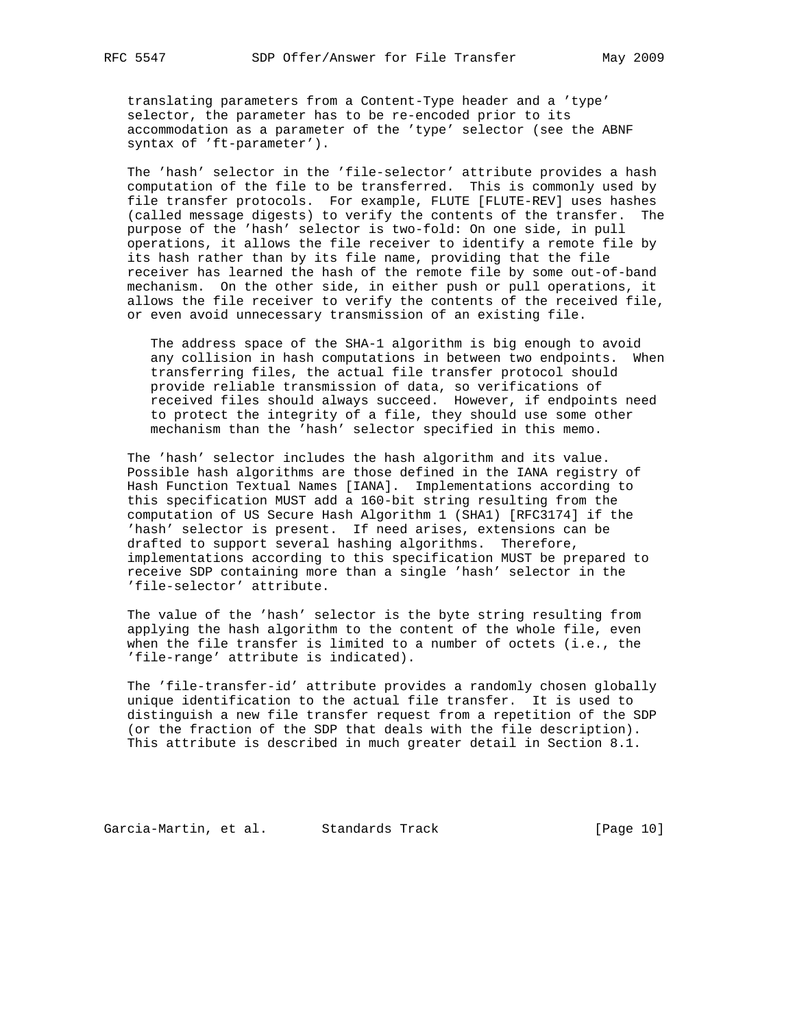translating parameters from a Content-Type header and a 'type' selector, the parameter has to be re-encoded prior to its accommodation as a parameter of the 'type' selector (see the ABNF syntax of 'ft-parameter').

 The 'hash' selector in the 'file-selector' attribute provides a hash computation of the file to be transferred. This is commonly used by file transfer protocols. For example, FLUTE [FLUTE-REV] uses hashes (called message digests) to verify the contents of the transfer. The purpose of the 'hash' selector is two-fold: On one side, in pull operations, it allows the file receiver to identify a remote file by its hash rather than by its file name, providing that the file receiver has learned the hash of the remote file by some out-of-band mechanism. On the other side, in either push or pull operations, it allows the file receiver to verify the contents of the received file, or even avoid unnecessary transmission of an existing file.

 The address space of the SHA-1 algorithm is big enough to avoid any collision in hash computations in between two endpoints. When transferring files, the actual file transfer protocol should provide reliable transmission of data, so verifications of received files should always succeed. However, if endpoints need to protect the integrity of a file, they should use some other mechanism than the 'hash' selector specified in this memo.

 The 'hash' selector includes the hash algorithm and its value. Possible hash algorithms are those defined in the IANA registry of Hash Function Textual Names [IANA]. Implementations according to this specification MUST add a 160-bit string resulting from the computation of US Secure Hash Algorithm 1 (SHA1) [RFC3174] if the 'hash' selector is present. If need arises, extensions can be drafted to support several hashing algorithms. Therefore, implementations according to this specification MUST be prepared to receive SDP containing more than a single 'hash' selector in the 'file-selector' attribute.

 The value of the 'hash' selector is the byte string resulting from applying the hash algorithm to the content of the whole file, even when the file transfer is limited to a number of octets (i.e., the 'file-range' attribute is indicated).

 The 'file-transfer-id' attribute provides a randomly chosen globally unique identification to the actual file transfer. It is used to distinguish a new file transfer request from a repetition of the SDP (or the fraction of the SDP that deals with the file description). This attribute is described in much greater detail in Section 8.1.

Garcia-Martin, et al. Standards Track [Page 10]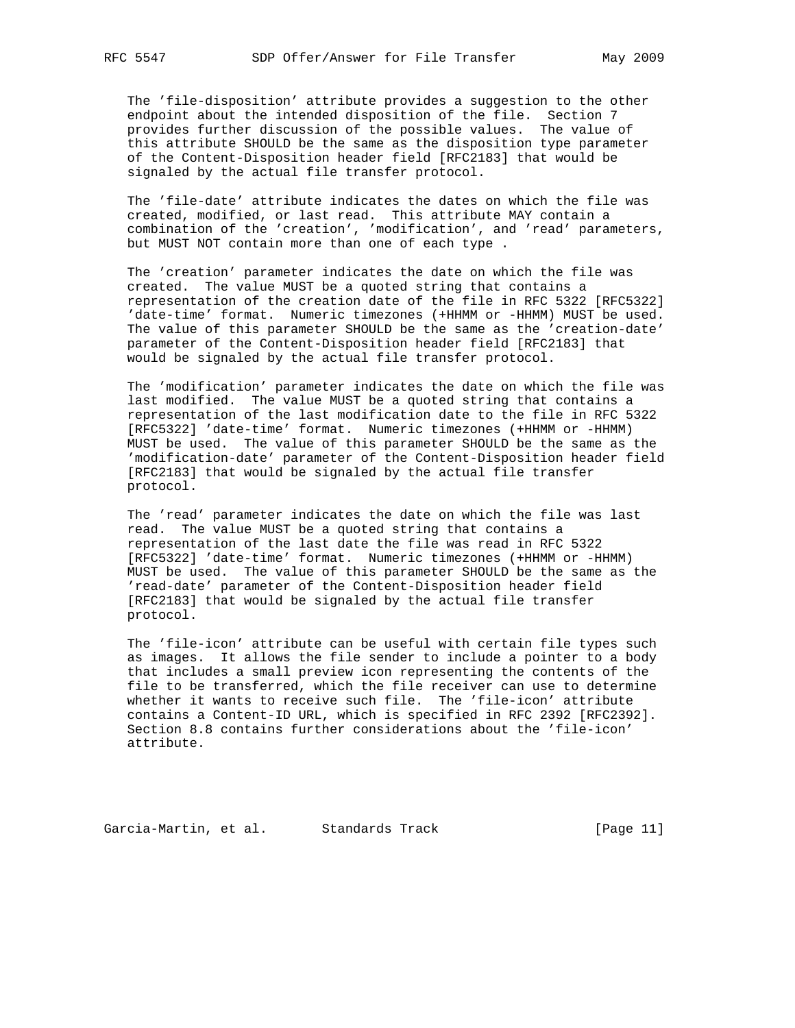The 'file-disposition' attribute provides a suggestion to the other endpoint about the intended disposition of the file. Section 7 provides further discussion of the possible values. The value of this attribute SHOULD be the same as the disposition type parameter of the Content-Disposition header field [RFC2183] that would be signaled by the actual file transfer protocol.

 The 'file-date' attribute indicates the dates on which the file was created, modified, or last read. This attribute MAY contain a combination of the 'creation', 'modification', and 'read' parameters, but MUST NOT contain more than one of each type .

 The 'creation' parameter indicates the date on which the file was created. The value MUST be a quoted string that contains a representation of the creation date of the file in RFC 5322 [RFC5322] 'date-time' format. Numeric timezones (+HHMM or -HHMM) MUST be used. The value of this parameter SHOULD be the same as the 'creation-date' parameter of the Content-Disposition header field [RFC2183] that would be signaled by the actual file transfer protocol.

 The 'modification' parameter indicates the date on which the file was last modified. The value MUST be a quoted string that contains a representation of the last modification date to the file in RFC 5322 [RFC5322] 'date-time' format. Numeric timezones (+HHMM or -HHMM) MUST be used. The value of this parameter SHOULD be the same as the 'modification-date' parameter of the Content-Disposition header field [RFC2183] that would be signaled by the actual file transfer protocol.

 The 'read' parameter indicates the date on which the file was last read. The value MUST be a quoted string that contains a representation of the last date the file was read in RFC 5322 [RFC5322] 'date-time' format. Numeric timezones (+HHMM or -HHMM) MUST be used. The value of this parameter SHOULD be the same as the 'read-date' parameter of the Content-Disposition header field [RFC2183] that would be signaled by the actual file transfer protocol.

 The 'file-icon' attribute can be useful with certain file types such as images. It allows the file sender to include a pointer to a body that includes a small preview icon representing the contents of the file to be transferred, which the file receiver can use to determine whether it wants to receive such file. The 'file-icon' attribute contains a Content-ID URL, which is specified in RFC 2392 [RFC2392]. Section 8.8 contains further considerations about the 'file-icon' attribute.

Garcia-Martin, et al. Standards Track [Page 11]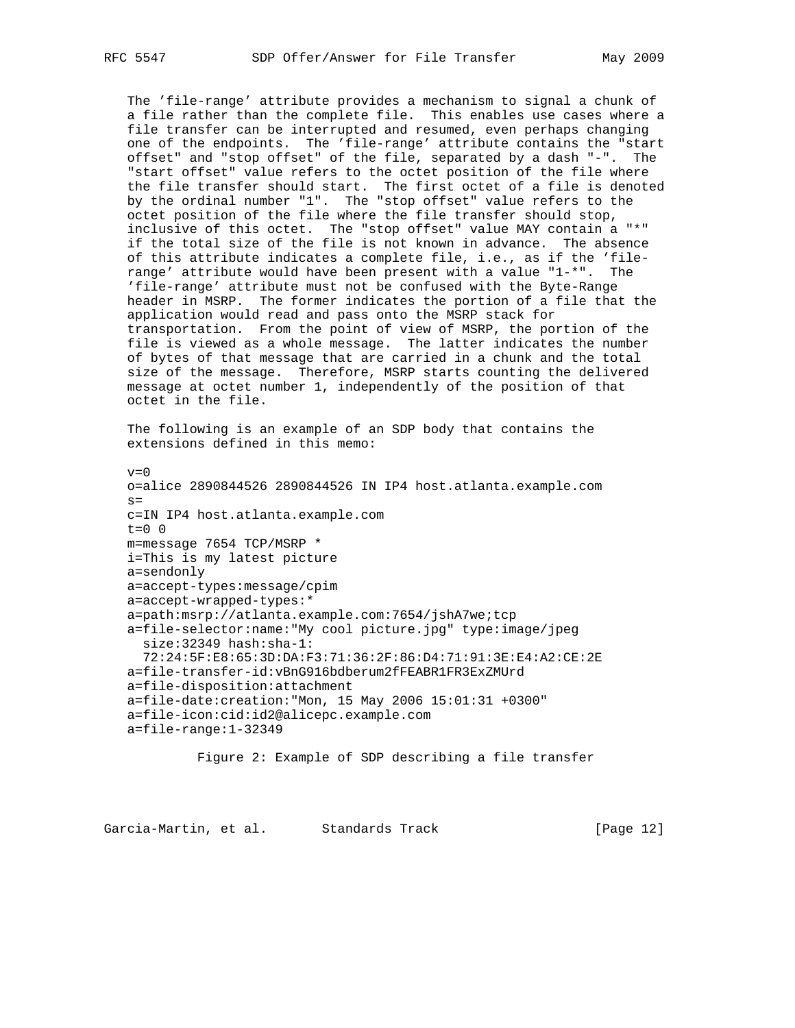The 'file-range' attribute provides a mechanism to signal a chunk of a file rather than the complete file. This enables use cases where a file transfer can be interrupted and resumed, even perhaps changing one of the endpoints. The 'file-range' attribute contains the "start offset" and "stop offset" of the file, separated by a dash "-". The "start offset" value refers to the octet position of the file where the file transfer should start. The first octet of a file is denoted by the ordinal number "1". The "stop offset" value refers to the octet position of the file where the file transfer should stop, inclusive of this octet. The "stop offset" value MAY contain a "\*" if the total size of the file is not known in advance. The absence of this attribute indicates a complete file, i.e., as if the 'file range' attribute would have been present with a value "1-\*". The 'file-range' attribute must not be confused with the Byte-Range header in MSRP. The former indicates the portion of a file that the application would read and pass onto the MSRP stack for transportation. From the point of view of MSRP, the portion of the file is viewed as a whole message. The latter indicates the number of bytes of that message that are carried in a chunk and the total size of the message. Therefore, MSRP starts counting the delivered message at octet number 1, independently of the position of that octet in the file.

 The following is an example of an SDP body that contains the extensions defined in this memo:

 $v=0$  o=alice 2890844526 2890844526 IN IP4 host.atlanta.example.com  $s=$  c=IN IP4 host.atlanta.example.com  $t=0$  0 m=message 7654 TCP/MSRP \* i=This is my latest picture a=sendonly a=accept-types:message/cpim a=accept-wrapped-types:\* a=path:msrp://atlanta.example.com:7654/jshA7we;tcp a=file-selector:name:"My cool picture.jpg" type:image/jpeg size:32349 hash:sha-1: 72:24:5F:E8:65:3D:DA:F3:71:36:2F:86:D4:71:91:3E:E4:A2:CE:2E a=file-transfer-id:vBnG916bdberum2fFEABR1FR3ExZMUrd a=file-disposition:attachment a=file-date:creation:"Mon, 15 May 2006 15:01:31 +0300" a=file-icon:cid:id2@alicepc.example.com a=file-range:1-32349

Figure 2: Example of SDP describing a file transfer

Garcia-Martin, et al. Standards Track [Page 12]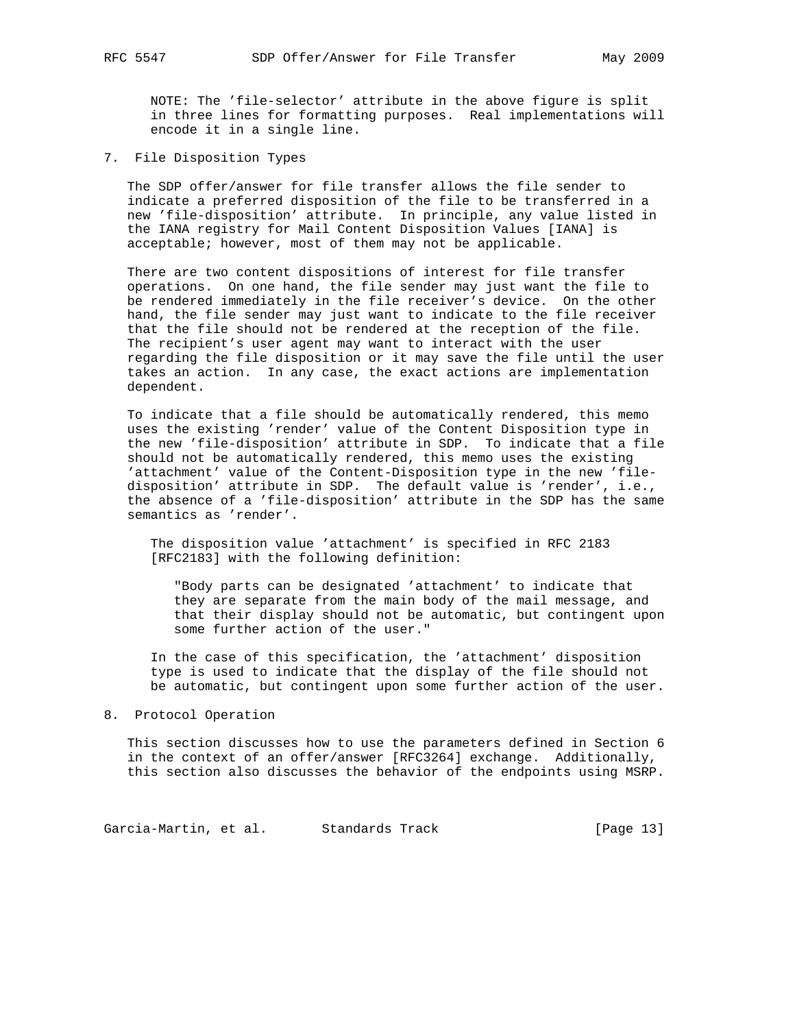NOTE: The 'file-selector' attribute in the above figure is split in three lines for formatting purposes. Real implementations will encode it in a single line.

7. File Disposition Types

 The SDP offer/answer for file transfer allows the file sender to indicate a preferred disposition of the file to be transferred in a new 'file-disposition' attribute. In principle, any value listed in the IANA registry for Mail Content Disposition Values [IANA] is acceptable; however, most of them may not be applicable.

 There are two content dispositions of interest for file transfer operations. On one hand, the file sender may just want the file to be rendered immediately in the file receiver's device. On the other hand, the file sender may just want to indicate to the file receiver that the file should not be rendered at the reception of the file. The recipient's user agent may want to interact with the user regarding the file disposition or it may save the file until the user takes an action. In any case, the exact actions are implementation dependent.

 To indicate that a file should be automatically rendered, this memo uses the existing 'render' value of the Content Disposition type in the new 'file-disposition' attribute in SDP. To indicate that a file should not be automatically rendered, this memo uses the existing 'attachment' value of the Content-Disposition type in the new 'file disposition' attribute in SDP. The default value is 'render', i.e., the absence of a 'file-disposition' attribute in the SDP has the same semantics as 'render'.

 The disposition value 'attachment' is specified in RFC 2183 [RFC2183] with the following definition:

 "Body parts can be designated 'attachment' to indicate that they are separate from the main body of the mail message, and that their display should not be automatic, but contingent upon some further action of the user."

 In the case of this specification, the 'attachment' disposition type is used to indicate that the display of the file should not be automatic, but contingent upon some further action of the user.

#### 8. Protocol Operation

 This section discusses how to use the parameters defined in Section 6 in the context of an offer/answer [RFC3264] exchange. Additionally, this section also discusses the behavior of the endpoints using MSRP.

Garcia-Martin, et al. Standards Track [Page 13]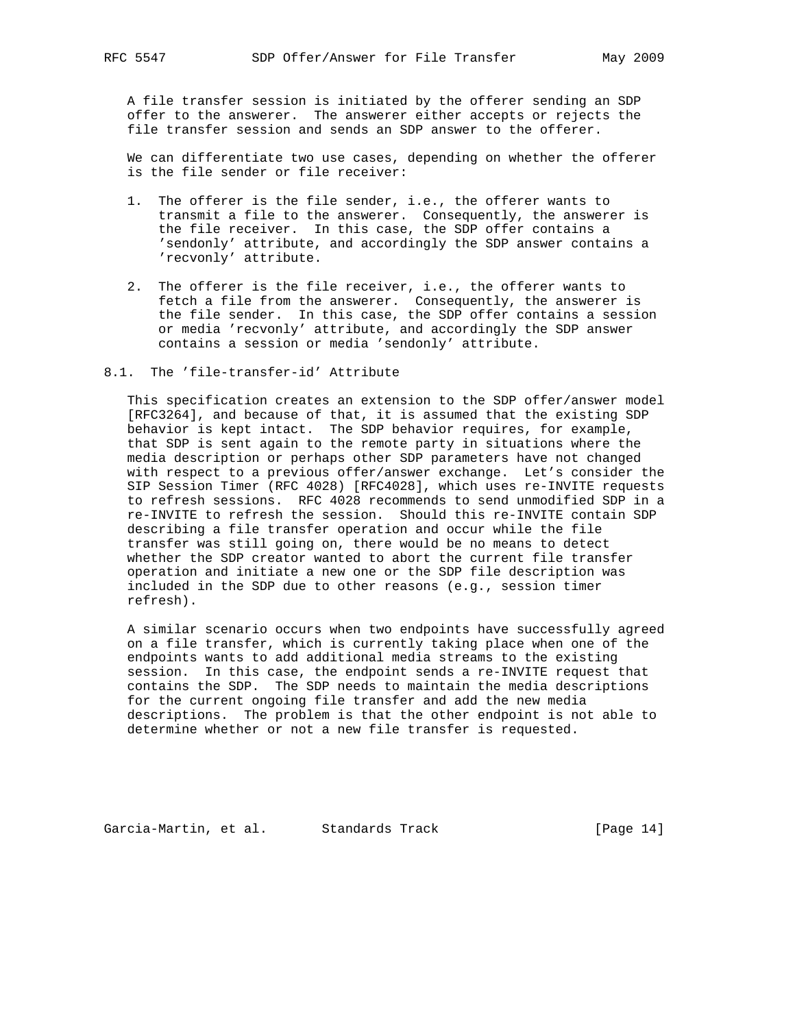A file transfer session is initiated by the offerer sending an SDP offer to the answerer. The answerer either accepts or rejects the file transfer session and sends an SDP answer to the offerer.

 We can differentiate two use cases, depending on whether the offerer is the file sender or file receiver:

- 1. The offerer is the file sender, i.e., the offerer wants to transmit a file to the answerer. Consequently, the answerer is the file receiver. In this case, the SDP offer contains a 'sendonly' attribute, and accordingly the SDP answer contains a 'recvonly' attribute.
- 2. The offerer is the file receiver, i.e., the offerer wants to fetch a file from the answerer. Consequently, the answerer is the file sender. In this case, the SDP offer contains a session or media 'recvonly' attribute, and accordingly the SDP answer contains a session or media 'sendonly' attribute.
- 8.1. The 'file-transfer-id' Attribute

 This specification creates an extension to the SDP offer/answer model [RFC3264], and because of that, it is assumed that the existing SDP behavior is kept intact. The SDP behavior requires, for example, that SDP is sent again to the remote party in situations where the media description or perhaps other SDP parameters have not changed with respect to a previous offer/answer exchange. Let's consider the SIP Session Timer (RFC 4028) [RFC4028], which uses re-INVITE requests to refresh sessions. RFC 4028 recommends to send unmodified SDP in a re-INVITE to refresh the session. Should this re-INVITE contain SDP describing a file transfer operation and occur while the file transfer was still going on, there would be no means to detect whether the SDP creator wanted to abort the current file transfer operation and initiate a new one or the SDP file description was included in the SDP due to other reasons (e.g., session timer refresh).

 A similar scenario occurs when two endpoints have successfully agreed on a file transfer, which is currently taking place when one of the endpoints wants to add additional media streams to the existing session. In this case, the endpoint sends a re-INVITE request that contains the SDP. The SDP needs to maintain the media descriptions for the current ongoing file transfer and add the new media descriptions. The problem is that the other endpoint is not able to determine whether or not a new file transfer is requested.

Garcia-Martin, et al. Standards Track [Page 14]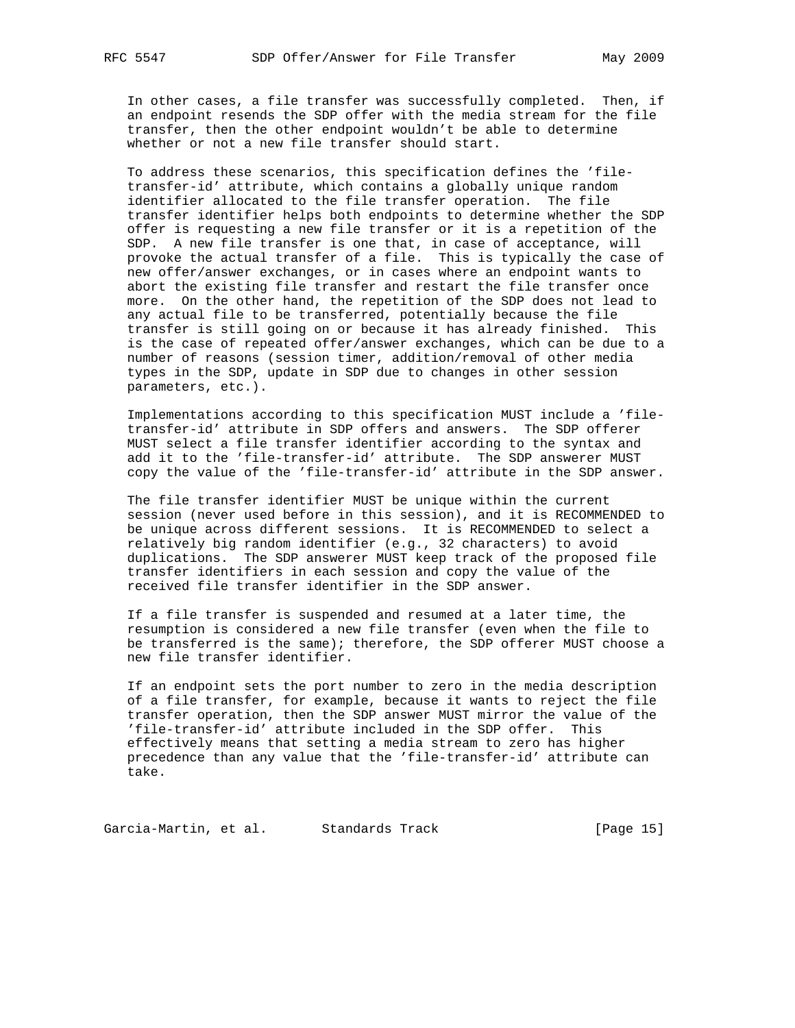In other cases, a file transfer was successfully completed. Then, if an endpoint resends the SDP offer with the media stream for the file transfer, then the other endpoint wouldn't be able to determine whether or not a new file transfer should start.

 To address these scenarios, this specification defines the 'file transfer-id' attribute, which contains a globally unique random identifier allocated to the file transfer operation. The file transfer identifier helps both endpoints to determine whether the SDP offer is requesting a new file transfer or it is a repetition of the SDP. A new file transfer is one that, in case of acceptance, will provoke the actual transfer of a file. This is typically the case of new offer/answer exchanges, or in cases where an endpoint wants to abort the existing file transfer and restart the file transfer once more. On the other hand, the repetition of the SDP does not lead to any actual file to be transferred, potentially because the file transfer is still going on or because it has already finished. This is the case of repeated offer/answer exchanges, which can be due to a number of reasons (session timer, addition/removal of other media types in the SDP, update in SDP due to changes in other session parameters, etc.).

 Implementations according to this specification MUST include a 'file transfer-id' attribute in SDP offers and answers. The SDP offerer MUST select a file transfer identifier according to the syntax and add it to the 'file-transfer-id' attribute. The SDP answerer MUST copy the value of the 'file-transfer-id' attribute in the SDP answer.

 The file transfer identifier MUST be unique within the current session (never used before in this session), and it is RECOMMENDED to be unique across different sessions. It is RECOMMENDED to select a relatively big random identifier (e.g., 32 characters) to avoid duplications. The SDP answerer MUST keep track of the proposed file transfer identifiers in each session and copy the value of the received file transfer identifier in the SDP answer.

 If a file transfer is suspended and resumed at a later time, the resumption is considered a new file transfer (even when the file to be transferred is the same); therefore, the SDP offerer MUST choose a new file transfer identifier.

 If an endpoint sets the port number to zero in the media description of a file transfer, for example, because it wants to reject the file transfer operation, then the SDP answer MUST mirror the value of the 'file-transfer-id' attribute included in the SDP offer. This effectively means that setting a media stream to zero has higher precedence than any value that the 'file-transfer-id' attribute can take.

Garcia-Martin, et al. Standards Track [Page 15]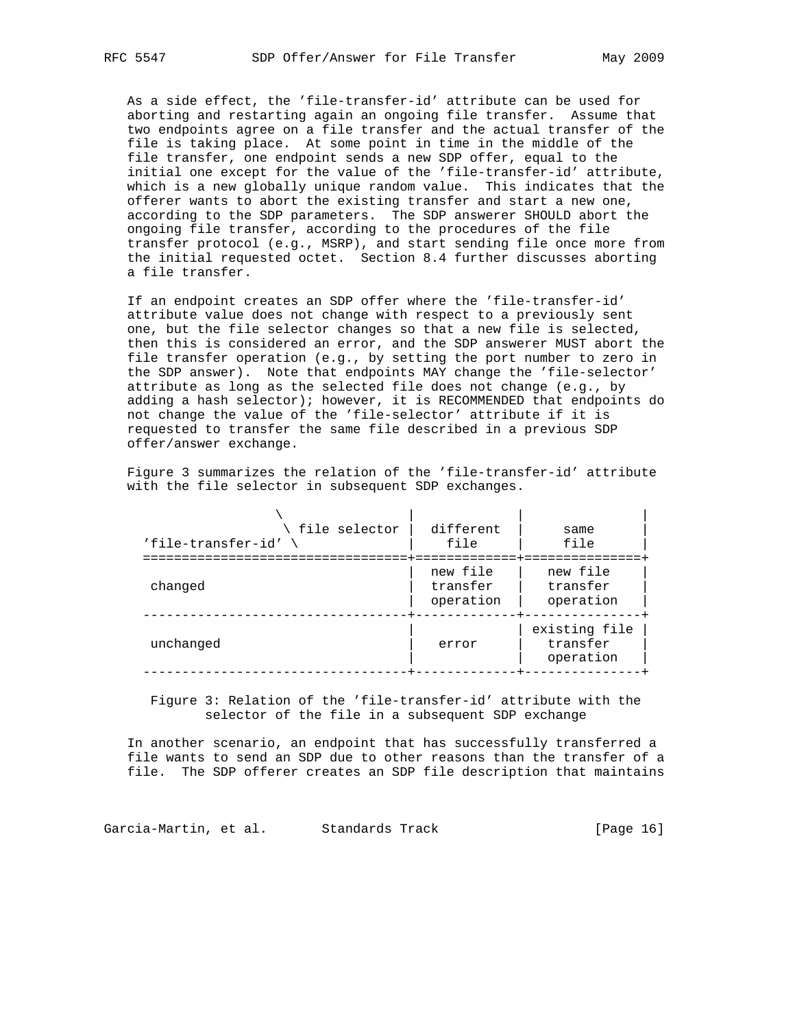As a side effect, the 'file-transfer-id' attribute can be used for aborting and restarting again an ongoing file transfer. Assume that two endpoints agree on a file transfer and the actual transfer of the file is taking place. At some point in time in the middle of the file transfer, one endpoint sends a new SDP offer, equal to the initial one except for the value of the 'file-transfer-id' attribute, which is a new globally unique random value. This indicates that the offerer wants to abort the existing transfer and start a new one, according to the SDP parameters. The SDP answerer SHOULD abort the ongoing file transfer, according to the procedures of the file transfer protocol (e.g., MSRP), and start sending file once more from the initial requested octet. Section 8.4 further discusses aborting a file transfer.

 If an endpoint creates an SDP offer where the 'file-transfer-id' attribute value does not change with respect to a previously sent one, but the file selector changes so that a new file is selected, then this is considered an error, and the SDP answerer MUST abort the file transfer operation (e.g., by setting the port number to zero in the SDP answer). Note that endpoints MAY change the 'file-selector' attribute as long as the selected file does not change (e.g., by adding a hash selector); however, it is RECOMMENDED that endpoints do not change the value of the 'file-selector' attribute if it is requested to transfer the same file described in a previous SDP offer/answer exchange.

 Figure 3 summarizes the relation of the 'file-transfer-id' attribute with the file selector in subsequent SDP exchanges.

| file selector<br>'file-transfer-id' | different<br>file                 | same<br>file                           |
|-------------------------------------|-----------------------------------|----------------------------------------|
| changed                             | new file<br>transfer<br>operation | new file<br>transfer<br>operation      |
| unchanged                           | error                             | existing file<br>transfer<br>operation |

 Figure 3: Relation of the 'file-transfer-id' attribute with the selector of the file in a subsequent SDP exchange

 In another scenario, an endpoint that has successfully transferred a file wants to send an SDP due to other reasons than the transfer of a file. The SDP offerer creates an SDP file description that maintains

Garcia-Martin, et al. Standards Track [Page 16]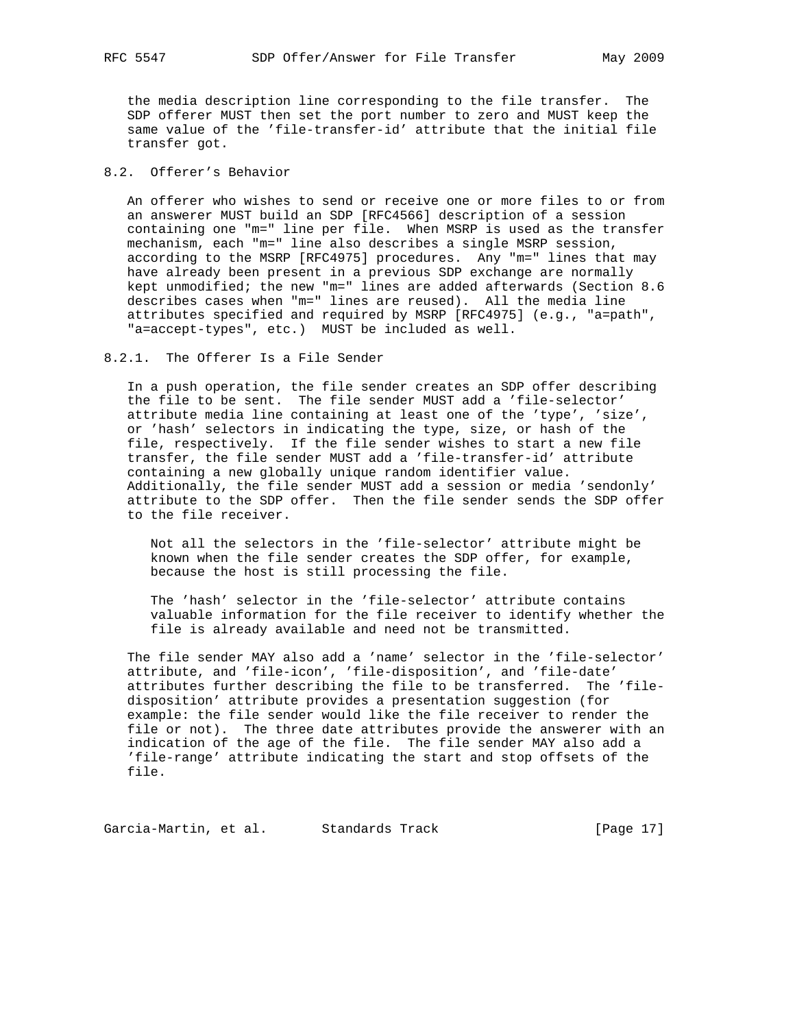the media description line corresponding to the file transfer. The SDP offerer MUST then set the port number to zero and MUST keep the same value of the 'file-transfer-id' attribute that the initial file transfer got.

# 8.2. Offerer's Behavior

 An offerer who wishes to send or receive one or more files to or from an answerer MUST build an SDP [RFC4566] description of a session containing one "m=" line per file. When MSRP is used as the transfer mechanism, each "m=" line also describes a single MSRP session, according to the MSRP [RFC4975] procedures. Any "m=" lines that may have already been present in a previous SDP exchange are normally kept unmodified; the new "m=" lines are added afterwards (Section 8.6 describes cases when "m=" lines are reused). All the media line attributes specified and required by MSRP [RFC4975] (e.g., "a=path", "a=accept-types", etc.) MUST be included as well.

#### 8.2.1. The Offerer Is a File Sender

 In a push operation, the file sender creates an SDP offer describing the file to be sent. The file sender MUST add a 'file-selector' attribute media line containing at least one of the 'type', 'size', or 'hash' selectors in indicating the type, size, or hash of the file, respectively. If the file sender wishes to start a new file transfer, the file sender MUST add a 'file-transfer-id' attribute containing a new globally unique random identifier value. Additionally, the file sender MUST add a session or media 'sendonly' attribute to the SDP offer. Then the file sender sends the SDP offer to the file receiver.

 Not all the selectors in the 'file-selector' attribute might be known when the file sender creates the SDP offer, for example, because the host is still processing the file.

 The 'hash' selector in the 'file-selector' attribute contains valuable information for the file receiver to identify whether the file is already available and need not be transmitted.

 The file sender MAY also add a 'name' selector in the 'file-selector' attribute, and 'file-icon', 'file-disposition', and 'file-date' attributes further describing the file to be transferred. The 'file disposition' attribute provides a presentation suggestion (for example: the file sender would like the file receiver to render the file or not). The three date attributes provide the answerer with an indication of the age of the file. The file sender MAY also add a 'file-range' attribute indicating the start and stop offsets of the file.

Garcia-Martin, et al. Standards Track [Page 17]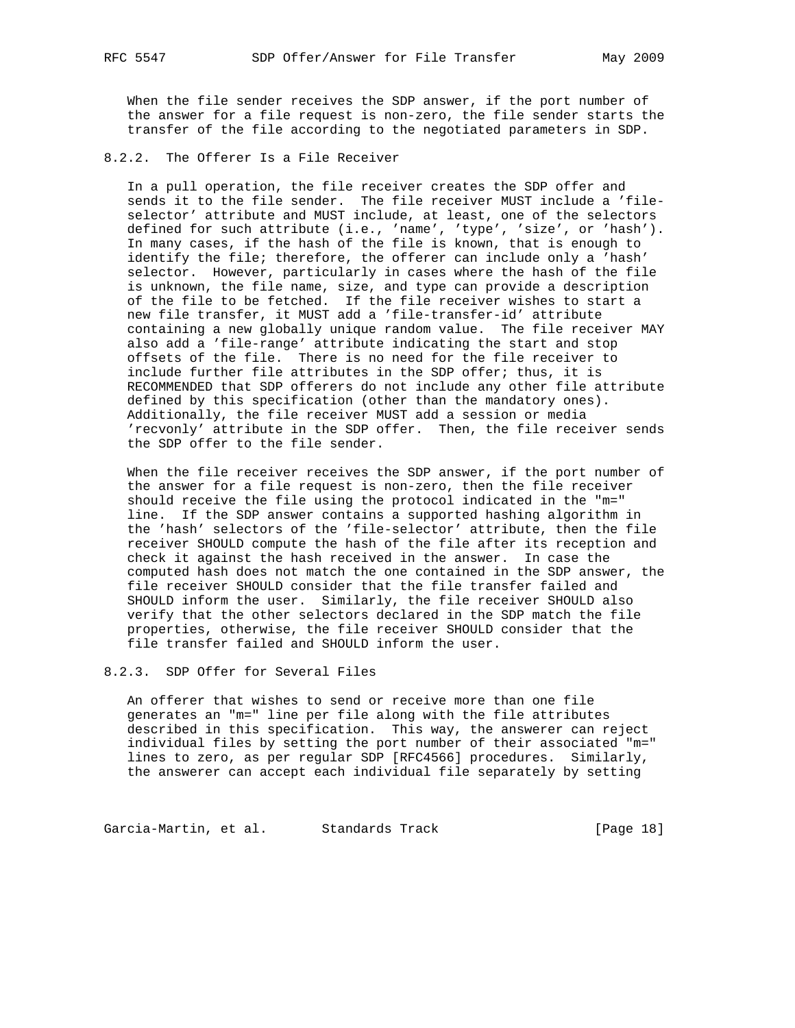When the file sender receives the SDP answer, if the port number of the answer for a file request is non-zero, the file sender starts the transfer of the file according to the negotiated parameters in SDP.

# 8.2.2. The Offerer Is a File Receiver

 In a pull operation, the file receiver creates the SDP offer and sends it to the file sender. The file receiver MUST include a 'file selector' attribute and MUST include, at least, one of the selectors defined for such attribute (i.e., 'name', 'type', 'size', or 'hash'). In many cases, if the hash of the file is known, that is enough to identify the file; therefore, the offerer can include only a 'hash' selector. However, particularly in cases where the hash of the file is unknown, the file name, size, and type can provide a description of the file to be fetched. If the file receiver wishes to start a new file transfer, it MUST add a 'file-transfer-id' attribute containing a new globally unique random value. The file receiver MAY also add a 'file-range' attribute indicating the start and stop offsets of the file. There is no need for the file receiver to include further file attributes in the SDP offer; thus, it is RECOMMENDED that SDP offerers do not include any other file attribute defined by this specification (other than the mandatory ones). Additionally, the file receiver MUST add a session or media 'recvonly' attribute in the SDP offer. Then, the file receiver sends the SDP offer to the file sender.

 When the file receiver receives the SDP answer, if the port number of the answer for a file request is non-zero, then the file receiver should receive the file using the protocol indicated in the "m=" line. If the SDP answer contains a supported hashing algorithm in the 'hash' selectors of the 'file-selector' attribute, then the file receiver SHOULD compute the hash of the file after its reception and check it against the hash received in the answer. In case the computed hash does not match the one contained in the SDP answer, the file receiver SHOULD consider that the file transfer failed and SHOULD inform the user. Similarly, the file receiver SHOULD also verify that the other selectors declared in the SDP match the file properties, otherwise, the file receiver SHOULD consider that the file transfer failed and SHOULD inform the user.

### 8.2.3. SDP Offer for Several Files

 An offerer that wishes to send or receive more than one file generates an "m=" line per file along with the file attributes described in this specification. This way, the answerer can reject individual files by setting the port number of their associated "m=" lines to zero, as per regular SDP [RFC4566] procedures. Similarly, the answerer can accept each individual file separately by setting

Garcia-Martin, et al. Standards Track [Page 18]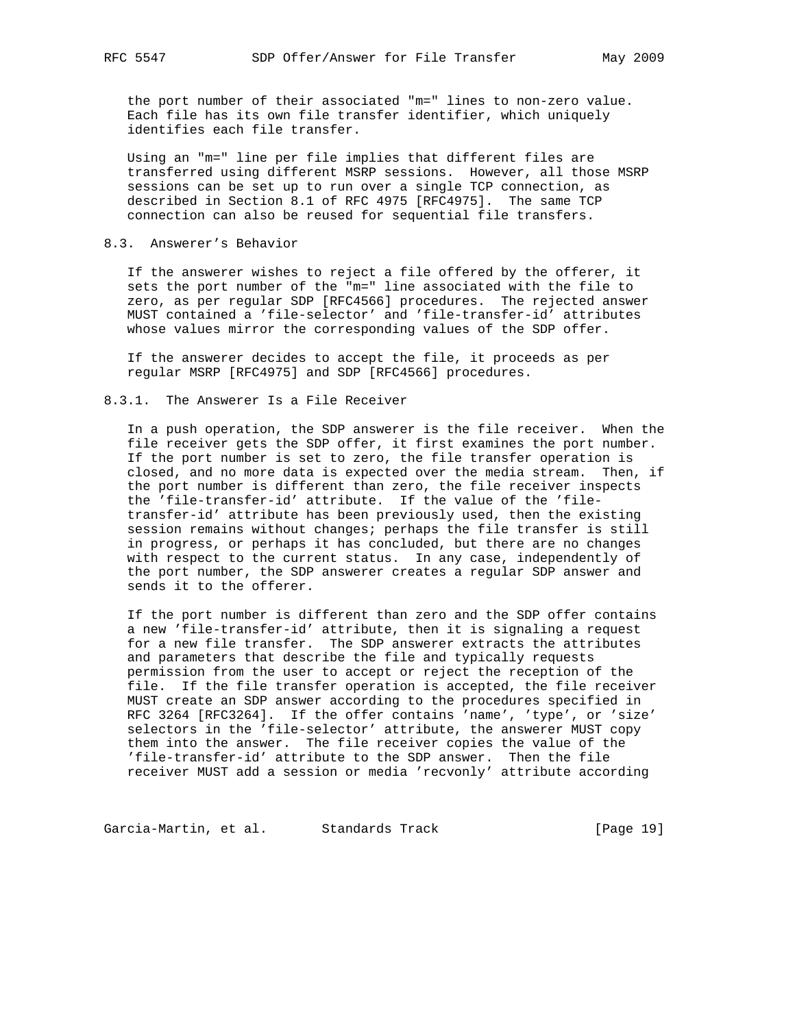the port number of their associated "m=" lines to non-zero value. Each file has its own file transfer identifier, which uniquely identifies each file transfer.

 Using an "m=" line per file implies that different files are transferred using different MSRP sessions. However, all those MSRP sessions can be set up to run over a single TCP connection, as described in Section 8.1 of RFC 4975 [RFC4975]. The same TCP connection can also be reused for sequential file transfers.

#### 8.3. Answerer's Behavior

 If the answerer wishes to reject a file offered by the offerer, it sets the port number of the "m=" line associated with the file to zero, as per regular SDP [RFC4566] procedures. The rejected answer MUST contained a 'file-selector' and 'file-transfer-id' attributes whose values mirror the corresponding values of the SDP offer.

 If the answerer decides to accept the file, it proceeds as per regular MSRP [RFC4975] and SDP [RFC4566] procedures.

#### 8.3.1. The Answerer Is a File Receiver

 In a push operation, the SDP answerer is the file receiver. When the file receiver gets the SDP offer, it first examines the port number. If the port number is set to zero, the file transfer operation is closed, and no more data is expected over the media stream. Then, if the port number is different than zero, the file receiver inspects the 'file-transfer-id' attribute. If the value of the 'file transfer-id' attribute has been previously used, then the existing session remains without changes; perhaps the file transfer is still in progress, or perhaps it has concluded, but there are no changes with respect to the current status. In any case, independently of the port number, the SDP answerer creates a regular SDP answer and sends it to the offerer.

 If the port number is different than zero and the SDP offer contains a new 'file-transfer-id' attribute, then it is signaling a request for a new file transfer. The SDP answerer extracts the attributes and parameters that describe the file and typically requests permission from the user to accept or reject the reception of the file. If the file transfer operation is accepted, the file receiver MUST create an SDP answer according to the procedures specified in RFC 3264 [RFC3264]. If the offer contains 'name', 'type', or 'size' selectors in the 'file-selector' attribute, the answerer MUST copy them into the answer. The file receiver copies the value of the 'file-transfer-id' attribute to the SDP answer. Then the file receiver MUST add a session or media 'recvonly' attribute according

Garcia-Martin, et al. Standards Track [Page 19]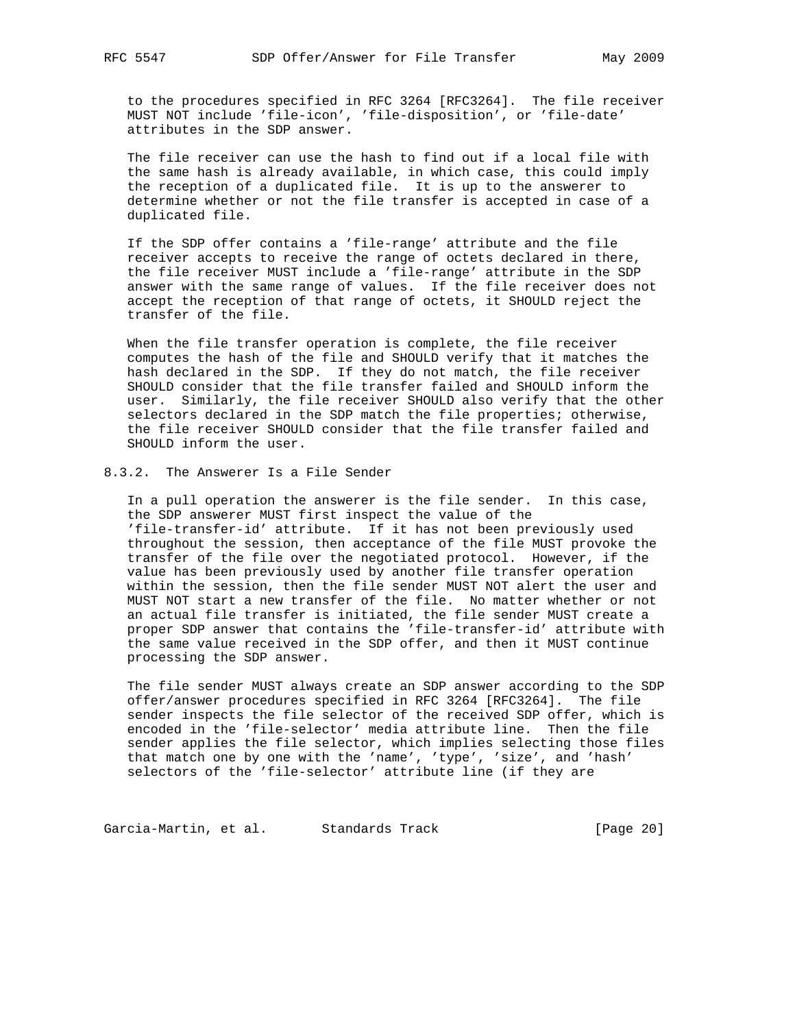to the procedures specified in RFC 3264 [RFC3264]. The file receiver MUST NOT include 'file-icon', 'file-disposition', or 'file-date' attributes in the SDP answer.

 The file receiver can use the hash to find out if a local file with the same hash is already available, in which case, this could imply the reception of a duplicated file. It is up to the answerer to determine whether or not the file transfer is accepted in case of a duplicated file.

 If the SDP offer contains a 'file-range' attribute and the file receiver accepts to receive the range of octets declared in there, the file receiver MUST include a 'file-range' attribute in the SDP answer with the same range of values. If the file receiver does not accept the reception of that range of octets, it SHOULD reject the transfer of the file.

 When the file transfer operation is complete, the file receiver computes the hash of the file and SHOULD verify that it matches the hash declared in the SDP. If they do not match, the file receiver SHOULD consider that the file transfer failed and SHOULD inform the user. Similarly, the file receiver SHOULD also verify that the other selectors declared in the SDP match the file properties; otherwise, the file receiver SHOULD consider that the file transfer failed and SHOULD inform the user.

## 8.3.2. The Answerer Is a File Sender

 In a pull operation the answerer is the file sender. In this case, the SDP answerer MUST first inspect the value of the 'file-transfer-id' attribute. If it has not been previously used throughout the session, then acceptance of the file MUST provoke the transfer of the file over the negotiated protocol. However, if the value has been previously used by another file transfer operation within the session, then the file sender MUST NOT alert the user and MUST NOT start a new transfer of the file. No matter whether or not an actual file transfer is initiated, the file sender MUST create a proper SDP answer that contains the 'file-transfer-id' attribute with the same value received in the SDP offer, and then it MUST continue processing the SDP answer.

 The file sender MUST always create an SDP answer according to the SDP offer/answer procedures specified in RFC 3264 [RFC3264]. The file sender inspects the file selector of the received SDP offer, which is encoded in the 'file-selector' media attribute line. Then the file sender applies the file selector, which implies selecting those files that match one by one with the 'name', 'type', 'size', and 'hash' selectors of the 'file-selector' attribute line (if they are

Garcia-Martin, et al. Standards Track [Page 20]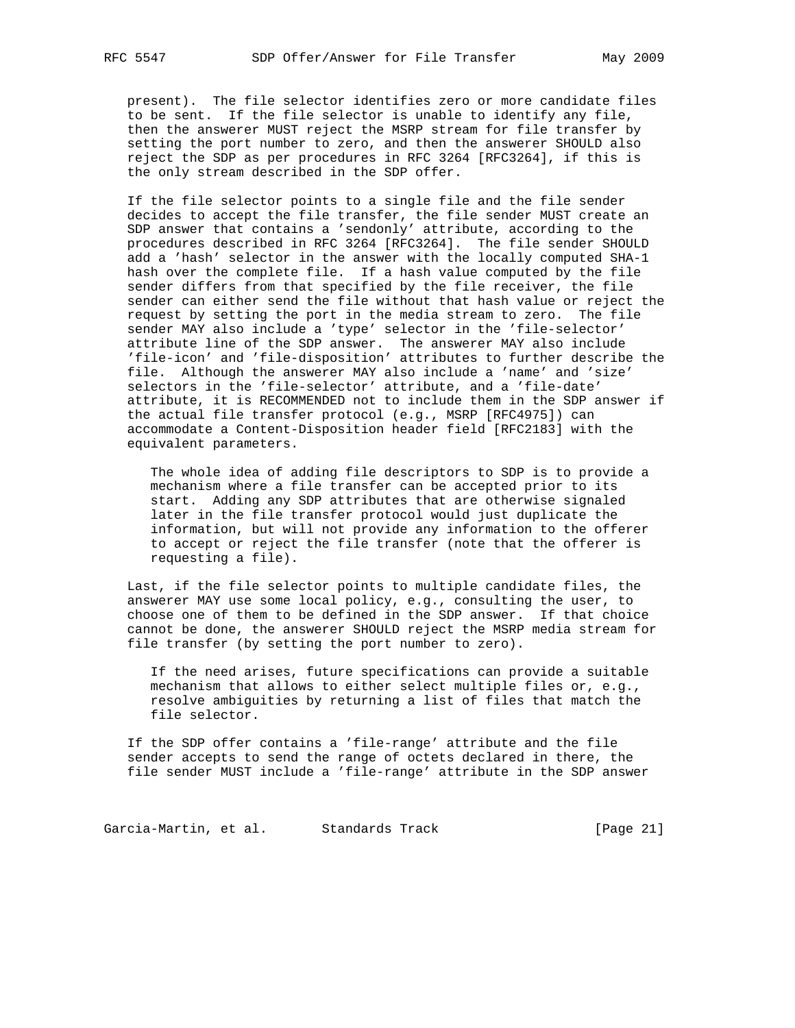present). The file selector identifies zero or more candidate files to be sent. If the file selector is unable to identify any file, then the answerer MUST reject the MSRP stream for file transfer by setting the port number to zero, and then the answerer SHOULD also reject the SDP as per procedures in RFC 3264 [RFC3264], if this is the only stream described in the SDP offer.

 If the file selector points to a single file and the file sender decides to accept the file transfer, the file sender MUST create an SDP answer that contains a 'sendonly' attribute, according to the procedures described in RFC 3264 [RFC3264]. The file sender SHOULD add a 'hash' selector in the answer with the locally computed SHA-1 hash over the complete file. If a hash value computed by the file sender differs from that specified by the file receiver, the file sender can either send the file without that hash value or reject the request by setting the port in the media stream to zero. The file sender MAY also include a 'type' selector in the 'file-selector' attribute line of the SDP answer. The answerer MAY also include 'file-icon' and 'file-disposition' attributes to further describe the file. Although the answerer MAY also include a 'name' and 'size' selectors in the 'file-selector' attribute, and a 'file-date' attribute, it is RECOMMENDED not to include them in the SDP answer if the actual file transfer protocol (e.g., MSRP [RFC4975]) can accommodate a Content-Disposition header field [RFC2183] with the equivalent parameters.

 The whole idea of adding file descriptors to SDP is to provide a mechanism where a file transfer can be accepted prior to its start. Adding any SDP attributes that are otherwise signaled later in the file transfer protocol would just duplicate the information, but will not provide any information to the offerer to accept or reject the file transfer (note that the offerer is requesting a file).

 Last, if the file selector points to multiple candidate files, the answerer MAY use some local policy, e.g., consulting the user, to choose one of them to be defined in the SDP answer. If that choice cannot be done, the answerer SHOULD reject the MSRP media stream for file transfer (by setting the port number to zero).

 If the need arises, future specifications can provide a suitable mechanism that allows to either select multiple files or, e.g., resolve ambiguities by returning a list of files that match the file selector.

 If the SDP offer contains a 'file-range' attribute and the file sender accepts to send the range of octets declared in there, the file sender MUST include a 'file-range' attribute in the SDP answer

Garcia-Martin, et al. Standards Track [Page 21]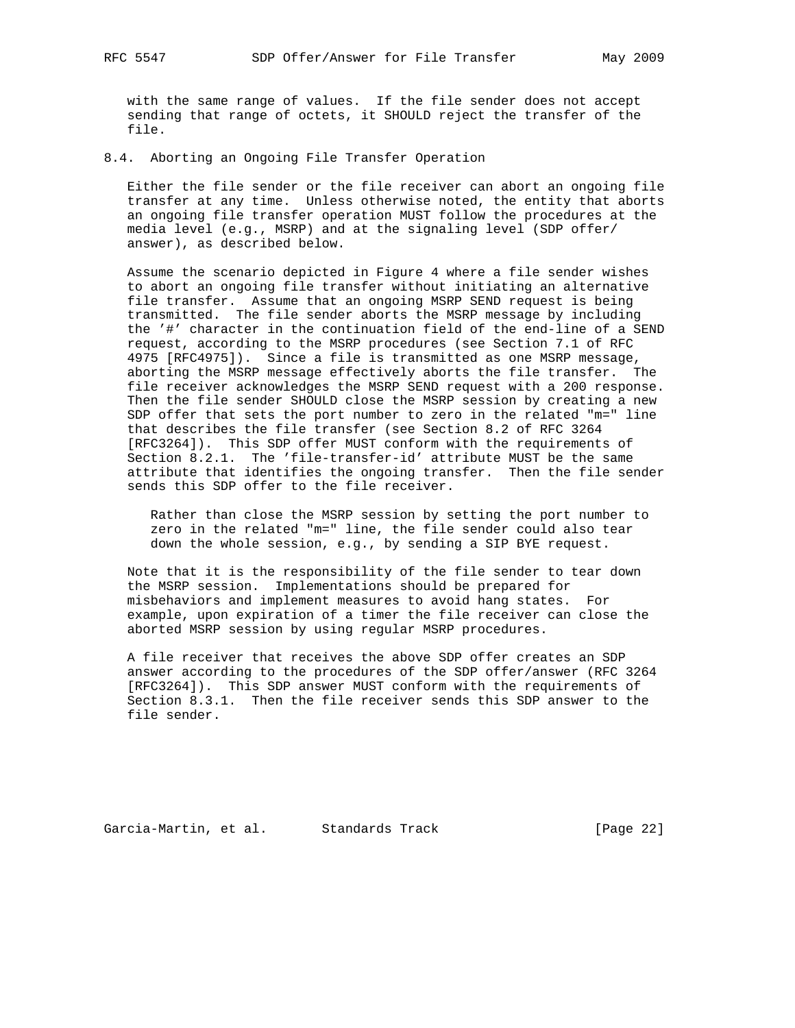with the same range of values. If the file sender does not accept sending that range of octets, it SHOULD reject the transfer of the file.

8.4. Aborting an Ongoing File Transfer Operation

 Either the file sender or the file receiver can abort an ongoing file transfer at any time. Unless otherwise noted, the entity that aborts an ongoing file transfer operation MUST follow the procedures at the media level (e.g., MSRP) and at the signaling level (SDP offer/ answer), as described below.

 Assume the scenario depicted in Figure 4 where a file sender wishes to abort an ongoing file transfer without initiating an alternative file transfer. Assume that an ongoing MSRP SEND request is being transmitted. The file sender aborts the MSRP message by including the '#' character in the continuation field of the end-line of a SEND request, according to the MSRP procedures (see Section 7.1 of RFC 4975 [RFC4975]). Since a file is transmitted as one MSRP message, aborting the MSRP message effectively aborts the file transfer. The file receiver acknowledges the MSRP SEND request with a 200 response. Then the file sender SHOULD close the MSRP session by creating a new SDP offer that sets the port number to zero in the related "m=" line that describes the file transfer (see Section 8.2 of RFC 3264 [RFC3264]). This SDP offer MUST conform with the requirements of Section 8.2.1. The 'file-transfer-id' attribute MUST be the same attribute that identifies the ongoing transfer. Then the file sender sends this SDP offer to the file receiver.

 Rather than close the MSRP session by setting the port number to zero in the related "m=" line, the file sender could also tear down the whole session, e.g., by sending a SIP BYE request.

 Note that it is the responsibility of the file sender to tear down the MSRP session. Implementations should be prepared for misbehaviors and implement measures to avoid hang states. For example, upon expiration of a timer the file receiver can close the aborted MSRP session by using regular MSRP procedures.

 A file receiver that receives the above SDP offer creates an SDP answer according to the procedures of the SDP offer/answer (RFC 3264 [RFC3264]). This SDP answer MUST conform with the requirements of Section 8.3.1. Then the file receiver sends this SDP answer to the file sender.

Garcia-Martin, et al. Standards Track [Page 22]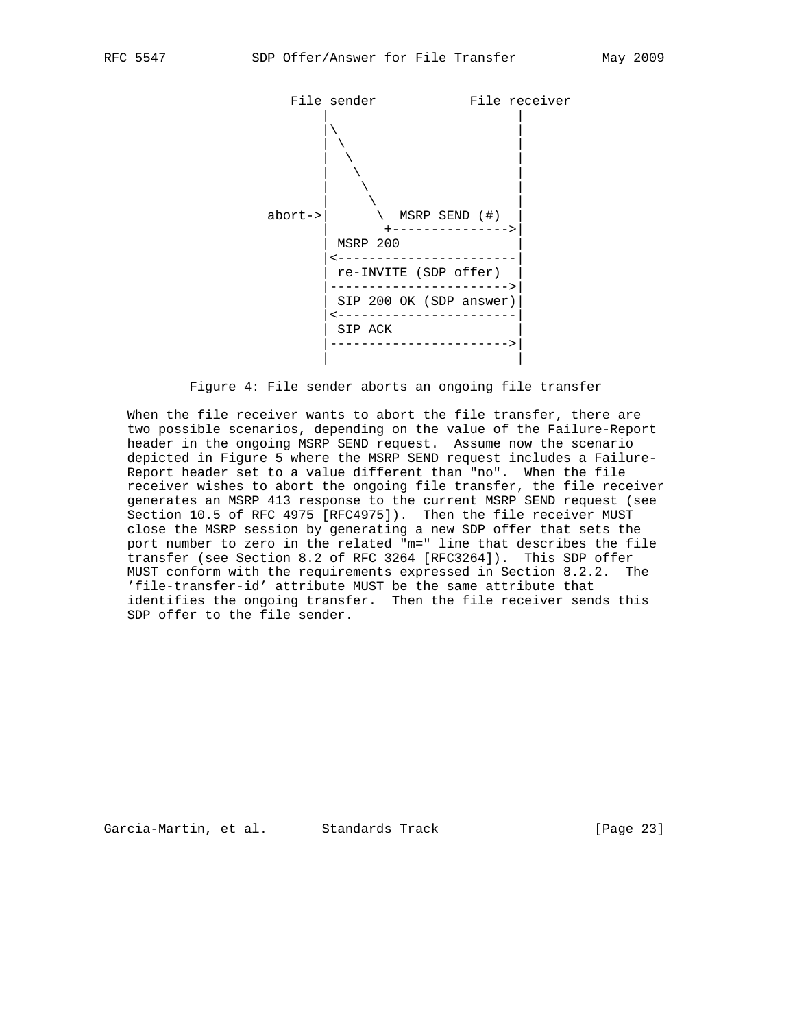

Figure 4: File sender aborts an ongoing file transfer

 When the file receiver wants to abort the file transfer, there are two possible scenarios, depending on the value of the Failure-Report header in the ongoing MSRP SEND request. Assume now the scenario depicted in Figure 5 where the MSRP SEND request includes a Failure- Report header set to a value different than "no". When the file receiver wishes to abort the ongoing file transfer, the file receiver generates an MSRP 413 response to the current MSRP SEND request (see Section 10.5 of RFC 4975 [RFC4975]). Then the file receiver MUST close the MSRP session by generating a new SDP offer that sets the port number to zero in the related "m=" line that describes the file transfer (see Section 8.2 of RFC 3264 [RFC3264]). This SDP offer MUST conform with the requirements expressed in Section 8.2.2. The 'file-transfer-id' attribute MUST be the same attribute that identifies the ongoing transfer. Then the file receiver sends this SDP offer to the file sender.

Garcia-Martin, et al. Standards Track [Page 23]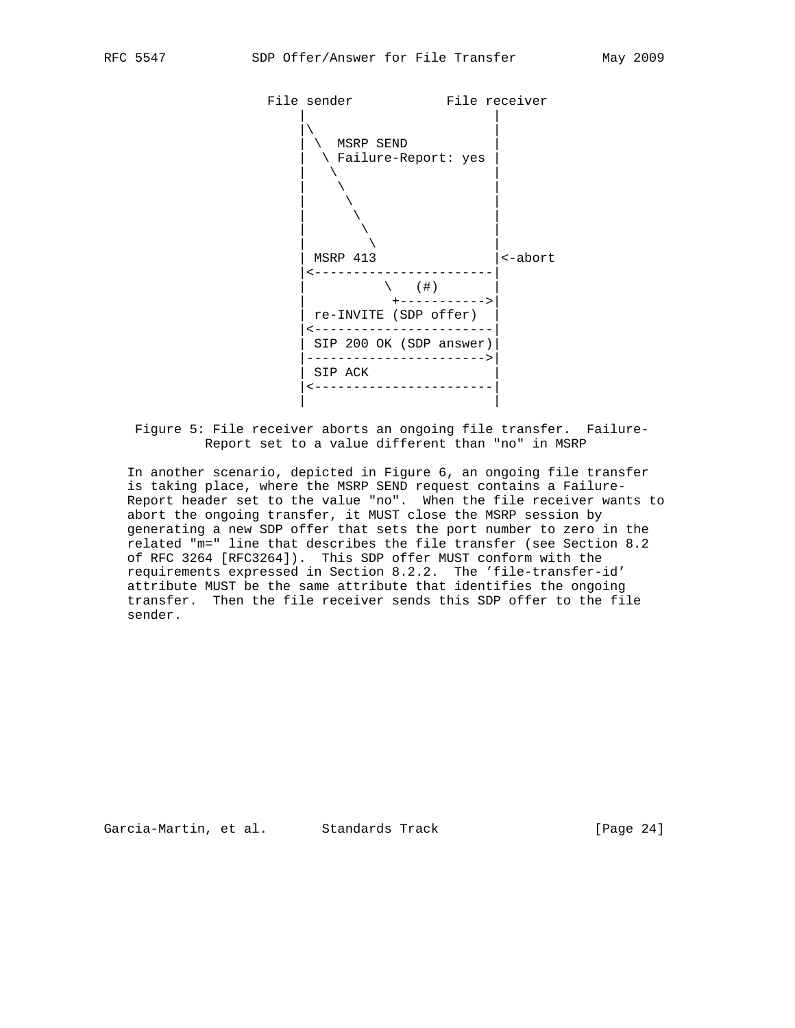

 Figure 5: File receiver aborts an ongoing file transfer. Failure- Report set to a value different than "no" in MSRP

 In another scenario, depicted in Figure 6, an ongoing file transfer is taking place, where the MSRP SEND request contains a Failure- Report header set to the value "no". When the file receiver wants to abort the ongoing transfer, it MUST close the MSRP session by generating a new SDP offer that sets the port number to zero in the related "m=" line that describes the file transfer (see Section 8.2 of RFC 3264 [RFC3264]). This SDP offer MUST conform with the requirements expressed in Section 8.2.2. The 'file-transfer-id' attribute MUST be the same attribute that identifies the ongoing transfer. Then the file receiver sends this SDP offer to the file sender.

Garcia-Martin, et al. Standards Track [Page 24]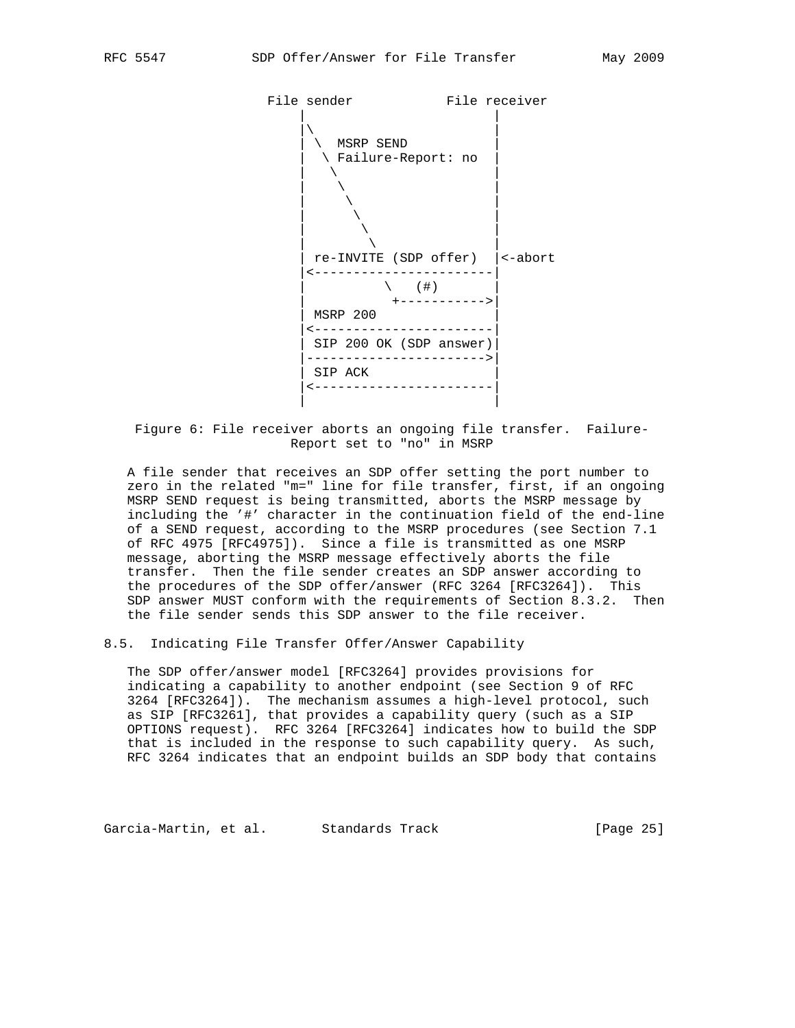

# Figure 6: File receiver aborts an ongoing file transfer. Failure- Report set to "no" in MSRP

 A file sender that receives an SDP offer setting the port number to zero in the related "m=" line for file transfer, first, if an ongoing MSRP SEND request is being transmitted, aborts the MSRP message by including the '#' character in the continuation field of the end-line of a SEND request, according to the MSRP procedures (see Section 7.1 of RFC 4975 [RFC4975]). Since a file is transmitted as one MSRP message, aborting the MSRP message effectively aborts the file transfer. Then the file sender creates an SDP answer according to the procedures of the SDP offer/answer (RFC 3264 [RFC3264]). This SDP answer MUST conform with the requirements of Section 8.3.2. Then the file sender sends this SDP answer to the file receiver.

# 8.5. Indicating File Transfer Offer/Answer Capability

 The SDP offer/answer model [RFC3264] provides provisions for indicating a capability to another endpoint (see Section 9 of RFC 3264 [RFC3264]). The mechanism assumes a high-level protocol, such as SIP [RFC3261], that provides a capability query (such as a SIP OPTIONS request). RFC 3264 [RFC3264] indicates how to build the SDP that is included in the response to such capability query. As such, RFC 3264 indicates that an endpoint builds an SDP body that contains

Garcia-Martin, et al. Standards Track [Page 25]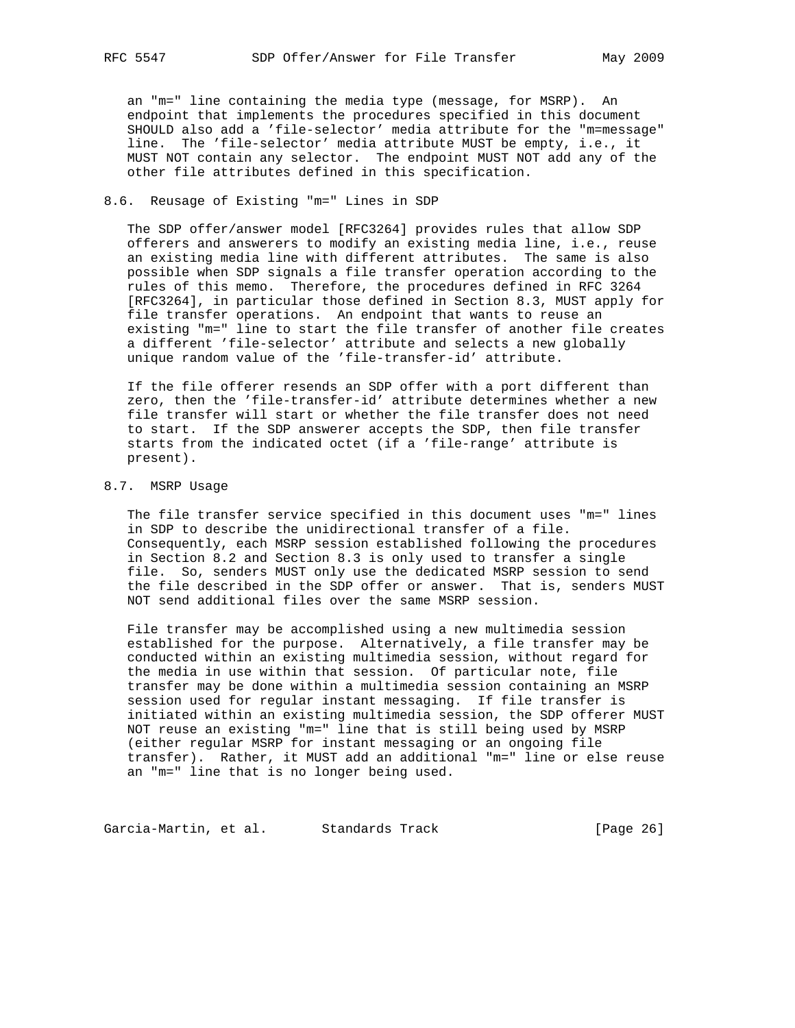an "m=" line containing the media type (message, for MSRP). An endpoint that implements the procedures specified in this document SHOULD also add a 'file-selector' media attribute for the "m=message" line. The 'file-selector' media attribute MUST be empty, i.e., it MUST NOT contain any selector. The endpoint MUST NOT add any of the other file attributes defined in this specification.

#### 8.6. Reusage of Existing "m=" Lines in SDP

 The SDP offer/answer model [RFC3264] provides rules that allow SDP offerers and answerers to modify an existing media line, i.e., reuse an existing media line with different attributes. The same is also possible when SDP signals a file transfer operation according to the rules of this memo. Therefore, the procedures defined in RFC 3264 [RFC3264], in particular those defined in Section 8.3, MUST apply for file transfer operations. An endpoint that wants to reuse an existing "m=" line to start the file transfer of another file creates a different 'file-selector' attribute and selects a new globally unique random value of the 'file-transfer-id' attribute.

 If the file offerer resends an SDP offer with a port different than zero, then the 'file-transfer-id' attribute determines whether a new file transfer will start or whether the file transfer does not need to start. If the SDP answerer accepts the SDP, then file transfer starts from the indicated octet (if a 'file-range' attribute is present).

### 8.7. MSRP Usage

 The file transfer service specified in this document uses "m=" lines in SDP to describe the unidirectional transfer of a file. Consequently, each MSRP session established following the procedures in Section 8.2 and Section 8.3 is only used to transfer a single file. So, senders MUST only use the dedicated MSRP session to send the file described in the SDP offer or answer. That is, senders MUST NOT send additional files over the same MSRP session.

 File transfer may be accomplished using a new multimedia session established for the purpose. Alternatively, a file transfer may be conducted within an existing multimedia session, without regard for the media in use within that session. Of particular note, file transfer may be done within a multimedia session containing an MSRP session used for regular instant messaging. If file transfer is initiated within an existing multimedia session, the SDP offerer MUST NOT reuse an existing "m=" line that is still being used by MSRP (either regular MSRP for instant messaging or an ongoing file transfer). Rather, it MUST add an additional "m=" line or else reuse an "m=" line that is no longer being used.

Garcia-Martin, et al. Standards Track [Page 26]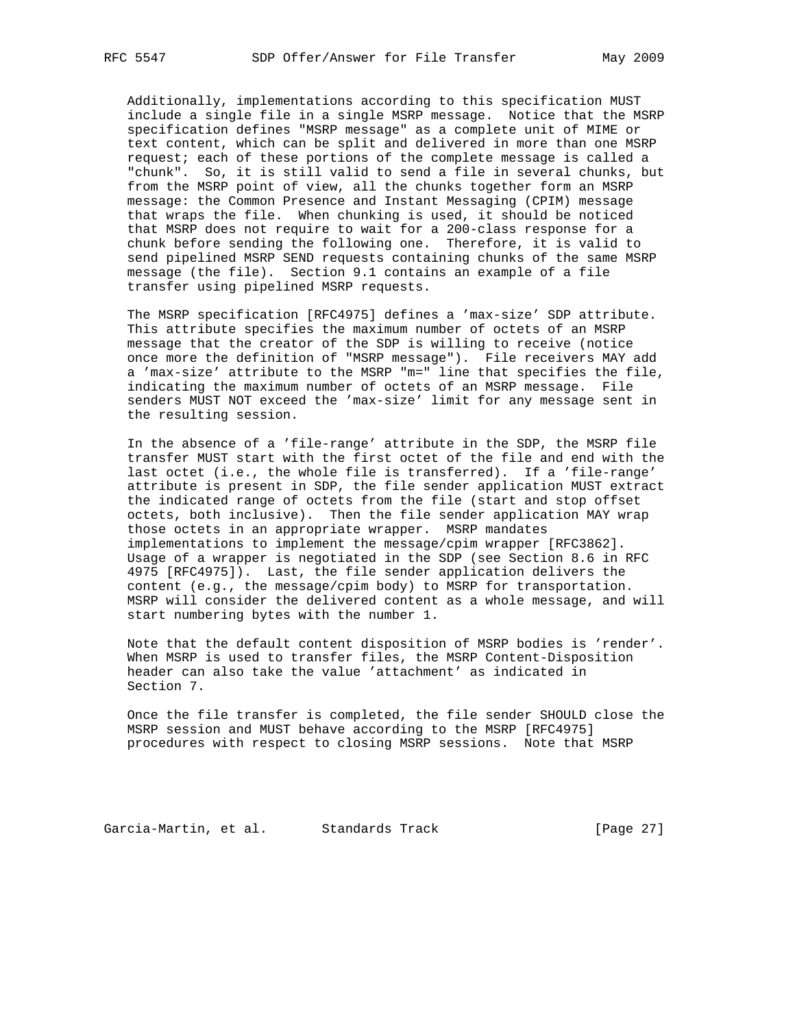Additionally, implementations according to this specification MUST include a single file in a single MSRP message. Notice that the MSRP specification defines "MSRP message" as a complete unit of MIME or text content, which can be split and delivered in more than one MSRP request; each of these portions of the complete message is called a "chunk". So, it is still valid to send a file in several chunks, but from the MSRP point of view, all the chunks together form an MSRP message: the Common Presence and Instant Messaging (CPIM) message that wraps the file. When chunking is used, it should be noticed that MSRP does not require to wait for a 200-class response for a chunk before sending the following one. Therefore, it is valid to send pipelined MSRP SEND requests containing chunks of the same MSRP message (the file). Section 9.1 contains an example of a file transfer using pipelined MSRP requests.

 The MSRP specification [RFC4975] defines a 'max-size' SDP attribute. This attribute specifies the maximum number of octets of an MSRP message that the creator of the SDP is willing to receive (notice once more the definition of "MSRP message"). File receivers MAY add a 'max-size' attribute to the MSRP "m=" line that specifies the file, indicating the maximum number of octets of an MSRP message. File senders MUST NOT exceed the 'max-size' limit for any message sent in the resulting session.

 In the absence of a 'file-range' attribute in the SDP, the MSRP file transfer MUST start with the first octet of the file and end with the last octet (i.e., the whole file is transferred). If a 'file-range' attribute is present in SDP, the file sender application MUST extract the indicated range of octets from the file (start and stop offset octets, both inclusive). Then the file sender application MAY wrap those octets in an appropriate wrapper. MSRP mandates implementations to implement the message/cpim wrapper [RFC3862]. Usage of a wrapper is negotiated in the SDP (see Section 8.6 in RFC 4975 [RFC4975]). Last, the file sender application delivers the content (e.g., the message/cpim body) to MSRP for transportation. MSRP will consider the delivered content as a whole message, and will start numbering bytes with the number 1.

 Note that the default content disposition of MSRP bodies is 'render'. When MSRP is used to transfer files, the MSRP Content-Disposition header can also take the value 'attachment' as indicated in Section 7.

 Once the file transfer is completed, the file sender SHOULD close the MSRP session and MUST behave according to the MSRP [RFC4975] procedures with respect to closing MSRP sessions. Note that MSRP

Garcia-Martin, et al. Standards Track [Page 27]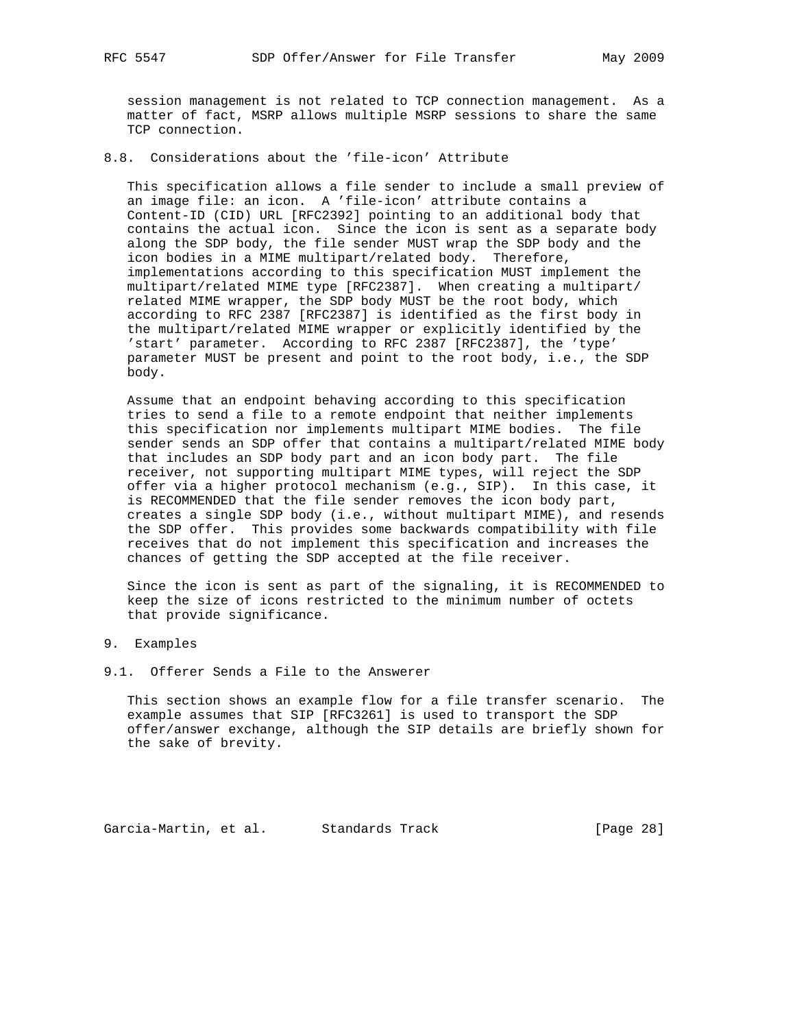session management is not related to TCP connection management. As a matter of fact, MSRP allows multiple MSRP sessions to share the same TCP connection.

### 8.8. Considerations about the 'file-icon' Attribute

 This specification allows a file sender to include a small preview of an image file: an icon. A 'file-icon' attribute contains a Content-ID (CID) URL [RFC2392] pointing to an additional body that contains the actual icon. Since the icon is sent as a separate body along the SDP body, the file sender MUST wrap the SDP body and the icon bodies in a MIME multipart/related body. Therefore, implementations according to this specification MUST implement the multipart/related MIME type [RFC2387]. When creating a multipart/ related MIME wrapper, the SDP body MUST be the root body, which according to RFC 2387 [RFC2387] is identified as the first body in the multipart/related MIME wrapper or explicitly identified by the 'start' parameter. According to RFC 2387 [RFC2387], the 'type' parameter MUST be present and point to the root body, i.e., the SDP body.

 Assume that an endpoint behaving according to this specification tries to send a file to a remote endpoint that neither implements this specification nor implements multipart MIME bodies. The file sender sends an SDP offer that contains a multipart/related MIME body that includes an SDP body part and an icon body part. The file receiver, not supporting multipart MIME types, will reject the SDP offer via a higher protocol mechanism (e.g., SIP). In this case, it is RECOMMENDED that the file sender removes the icon body part, creates a single SDP body (i.e., without multipart MIME), and resends the SDP offer. This provides some backwards compatibility with file receives that do not implement this specification and increases the chances of getting the SDP accepted at the file receiver.

 Since the icon is sent as part of the signaling, it is RECOMMENDED to keep the size of icons restricted to the minimum number of octets that provide significance.

#### 9. Examples

9.1. Offerer Sends a File to the Answerer

 This section shows an example flow for a file transfer scenario. The example assumes that SIP [RFC3261] is used to transport the SDP offer/answer exchange, although the SIP details are briefly shown for the sake of brevity.

Garcia-Martin, et al. Standards Track [Page 28]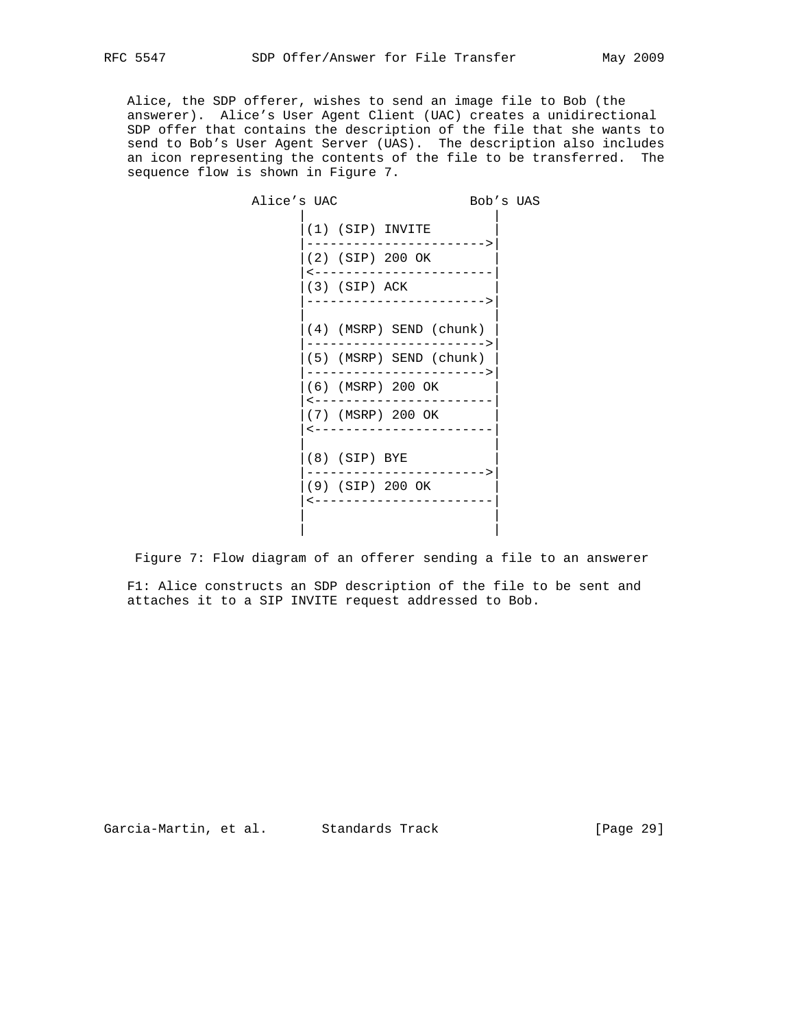Alice, the SDP offerer, wishes to send an image file to Bob (the answerer). Alice's User Agent Client (UAC) creates a unidirectional SDP offer that contains the description of the file that she wants to send to Bob's User Agent Server (UAS). The description also includes an icon representing the contents of the file to be transferred. The sequence flow is shown in Figure 7.

Alice's UAC Bob's UAS | |  $|(1)$  (SIP) INVITE |----------------------->|  $|(2)$  (SIP) 200 OK |<-----------------------| |(3) (SIP) ACK | |----------------------->| | | |(4) (MSRP) SEND (chunk) | |----------------------->| |(5) (MSRP) SEND (chunk) | |----------------------->| |(6) (MSRP) 200 OK | |<-----------------------| |(7) (MSRP) 200 OK | |<-----------------------| | | |(8) (SIP) BYE | |----------------------->| |(9) (SIP) 200 OK | |<-----------------------| | | | |

Figure 7: Flow diagram of an offerer sending a file to an answerer

 F1: Alice constructs an SDP description of the file to be sent and attaches it to a SIP INVITE request addressed to Bob.

Garcia-Martin, et al. Standards Track [Page 29]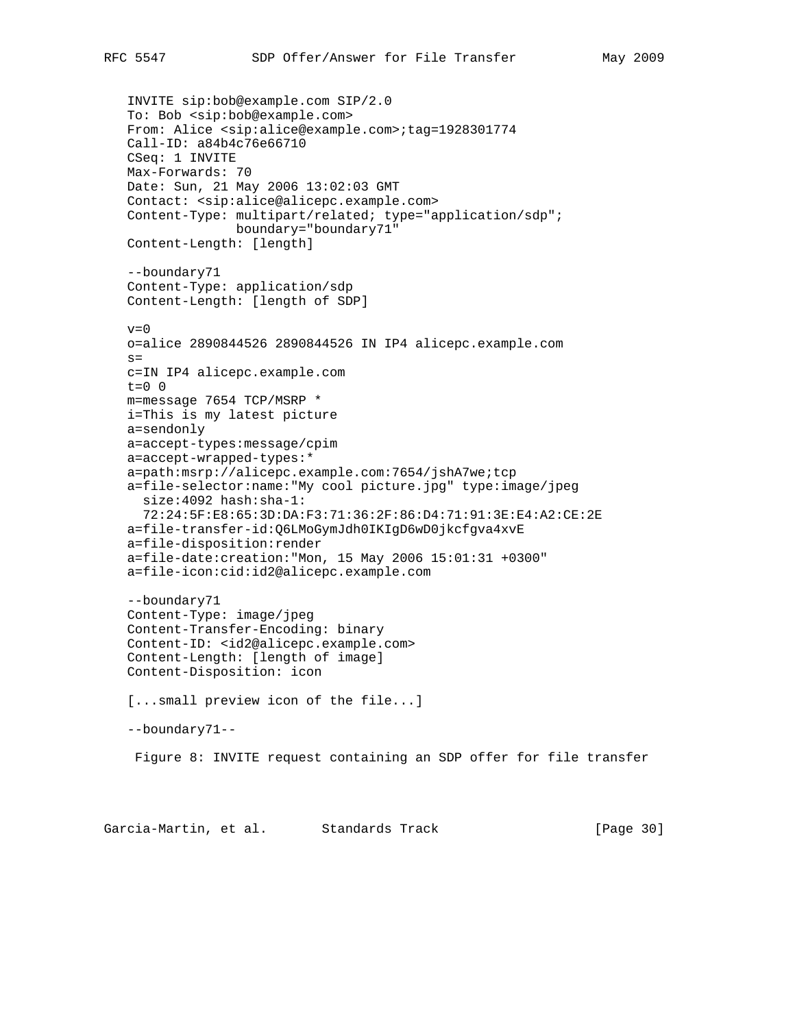```
 INVITE sip:bob@example.com SIP/2.0
 To: Bob <sip:bob@example.com>
 From: Alice <sip:alice@example.com>;tag=1928301774
 Call-ID: a84b4c76e66710
 CSeq: 1 INVITE
 Max-Forwards: 70
 Date: Sun, 21 May 2006 13:02:03 GMT
 Contact: <sip:alice@alicepc.example.com>
 Content-Type: multipart/related; type="application/sdp";
               boundary="boundary71"
 Content-Length: [length]
 --boundary71
 Content-Type: application/sdp
 Content-Length: [length of SDP]
v=0 o=alice 2890844526 2890844526 IN IP4 alicepc.example.com
s= c=IN IP4 alicepc.example.com
t=0 0
 m=message 7654 TCP/MSRP *
 i=This is my latest picture
 a=sendonly
 a=accept-types:message/cpim
 a=accept-wrapped-types:*
 a=path:msrp://alicepc.example.com:7654/jshA7we;tcp
 a=file-selector:name:"My cool picture.jpg" type:image/jpeg
   size:4092 hash:sha-1:
   72:24:5F:E8:65:3D:DA:F3:71:36:2F:86:D4:71:91:3E:E4:A2:CE:2E
 a=file-transfer-id:Q6LMoGymJdh0IKIgD6wD0jkcfgva4xvE
 a=file-disposition:render
 a=file-date:creation:"Mon, 15 May 2006 15:01:31 +0300"
 a=file-icon:cid:id2@alicepc.example.com
 --boundary71
 Content-Type: image/jpeg
 Content-Transfer-Encoding: binary
 Content-ID: <id2@alicepc.example.com>
 Content-Length: [length of image]
 Content-Disposition: icon
 [...small preview icon of the file...]
 --boundary71--
  Figure 8: INVITE request containing an SDP offer for file transfer
```
Garcia-Martin, et al. Standards Track [Page 30]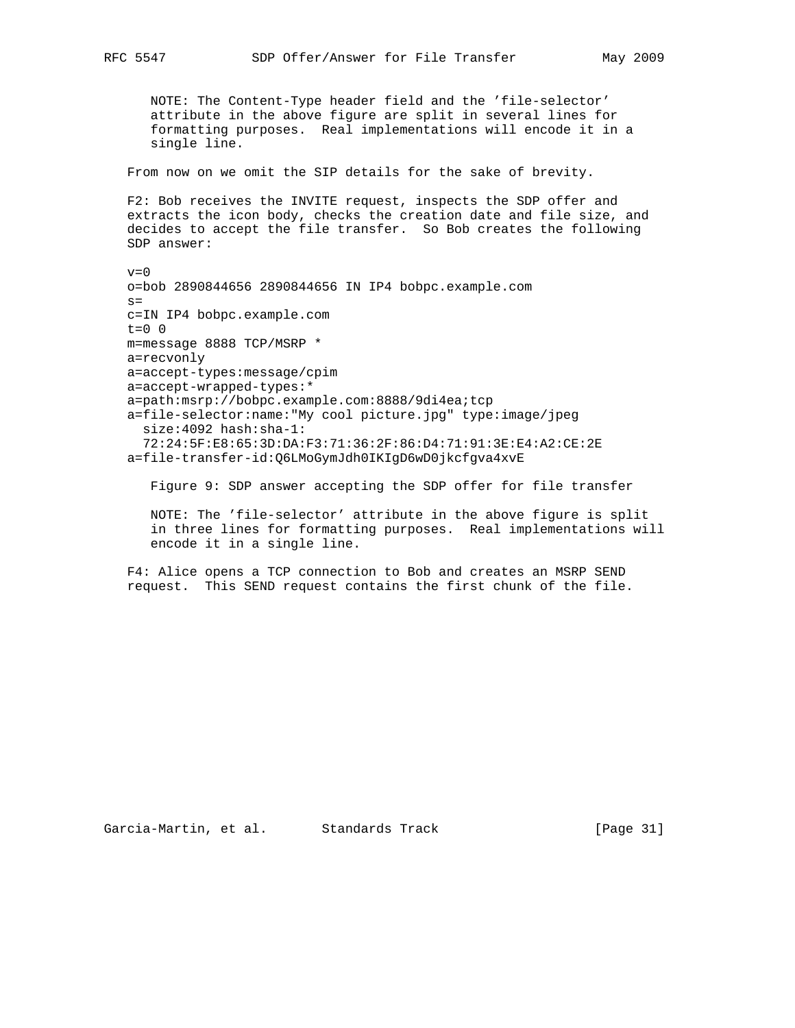NOTE: The Content-Type header field and the 'file-selector' attribute in the above figure are split in several lines for formatting purposes. Real implementations will encode it in a single line.

From now on we omit the SIP details for the sake of brevity.

 F2: Bob receives the INVITE request, inspects the SDP offer and extracts the icon body, checks the creation date and file size, and decides to accept the file transfer. So Bob creates the following SDP answer:

 $v=0$  o=bob 2890844656 2890844656 IN IP4 bobpc.example.com  $s=$  c=IN IP4 bobpc.example.com  $t=0$  0 m=message 8888 TCP/MSRP \* a=recvonly a=accept-types:message/cpim a=accept-wrapped-types:\* a=path:msrp://bobpc.example.com:8888/9di4ea;tcp a=file-selector:name:"My cool picture.jpg" type:image/jpeg size:4092 hash:sha-1: 72:24:5F:E8:65:3D:DA:F3:71:36:2F:86:D4:71:91:3E:E4:A2:CE:2E a=file-transfer-id:Q6LMoGymJdh0IKIgD6wD0jkcfgva4xvE

Figure 9: SDP answer accepting the SDP offer for file transfer

 NOTE: The 'file-selector' attribute in the above figure is split in three lines for formatting purposes. Real implementations will encode it in a single line.

 F4: Alice opens a TCP connection to Bob and creates an MSRP SEND request. This SEND request contains the first chunk of the file.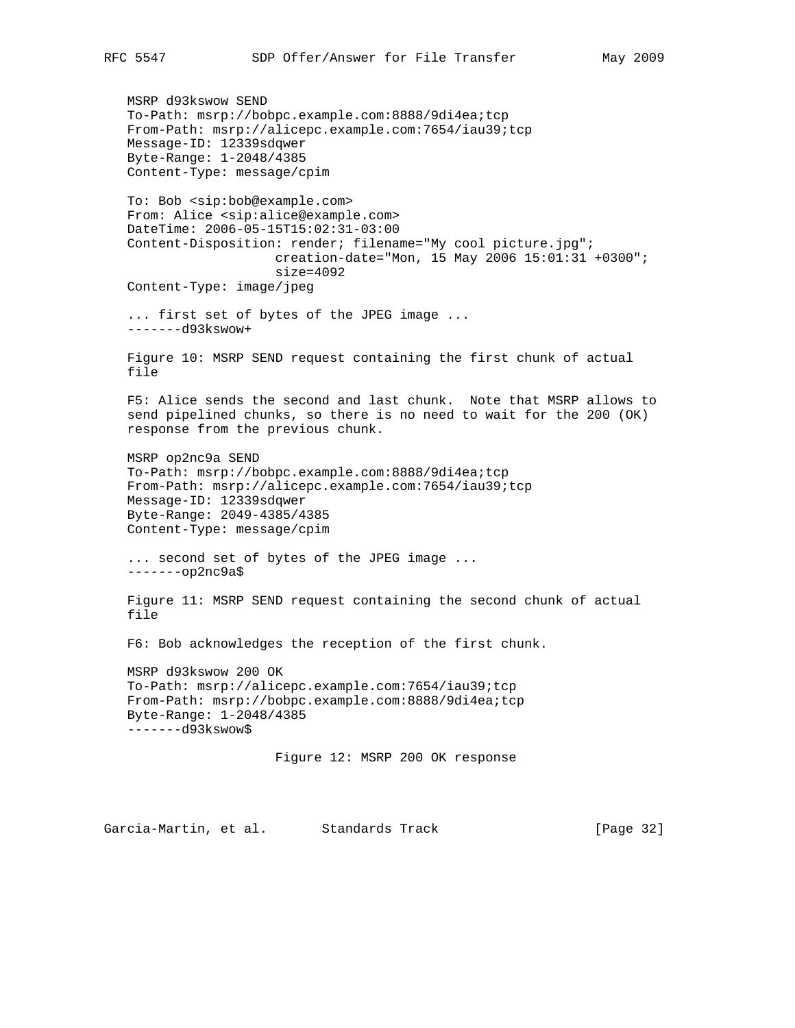MSRP d93kswow SEND To-Path: msrp://bobpc.example.com:8888/9di4ea;tcp From-Path: msrp://alicepc.example.com:7654/iau39;tcp Message-ID: 12339sdqwer Byte-Range: 1-2048/4385 Content-Type: message/cpim To: Bob <sip:bob@example.com> From: Alice <sip:alice@example.com> DateTime: 2006-05-15T15:02:31-03:00 Content-Disposition: render; filename="My cool picture.jpg"; creation-date="Mon, 15 May 2006 15:01:31 +0300"; size=4092 Content-Type: image/jpeg ... first set of bytes of the JPEG image ... -------d93kswow+ Figure 10: MSRP SEND request containing the first chunk of actual file F5: Alice sends the second and last chunk. Note that MSRP allows to send pipelined chunks, so there is no need to wait for the 200 (OK) response from the previous chunk. MSRP op2nc9a SEND To-Path: msrp://bobpc.example.com:8888/9di4ea;tcp From-Path: msrp://alicepc.example.com:7654/iau39;tcp Message-ID: 12339sdqwer Byte-Range: 2049-4385/4385 Content-Type: message/cpim ... second set of bytes of the JPEG image ... -------op2nc9a\$ Figure 11: MSRP SEND request containing the second chunk of actual file F6: Bob acknowledges the reception of the first chunk. MSRP d93kswow 200 OK To-Path: msrp://alicepc.example.com:7654/iau39;tcp From-Path: msrp://bobpc.example.com:8888/9di4ea;tcp Byte-Range: 1-2048/4385 -------d93kswow\$ Figure 12: MSRP 200 OK response

Garcia-Martin, et al. Standards Track [Page 32]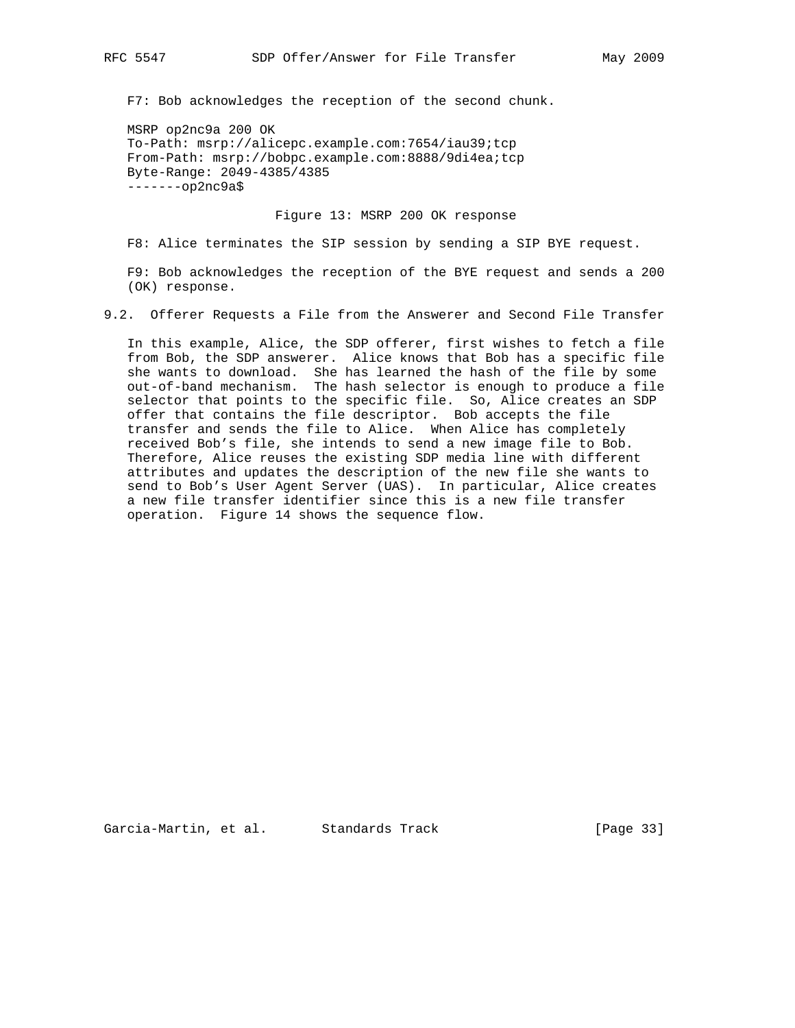F7: Bob acknowledges the reception of the second chunk.

 MSRP op2nc9a 200 OK To-Path: msrp://alicepc.example.com:7654/iau39;tcp From-Path: msrp://bobpc.example.com:8888/9di4ea;tcp Byte-Range: 2049-4385/4385 -------op2nc9a\$

Figure 13: MSRP 200 OK response

F8: Alice terminates the SIP session by sending a SIP BYE request.

 F9: Bob acknowledges the reception of the BYE request and sends a 200 (OK) response.

9.2. Offerer Requests a File from the Answerer and Second File Transfer

 In this example, Alice, the SDP offerer, first wishes to fetch a file from Bob, the SDP answerer. Alice knows that Bob has a specific file she wants to download. She has learned the hash of the file by some out-of-band mechanism. The hash selector is enough to produce a file selector that points to the specific file. So, Alice creates an SDP offer that contains the file descriptor. Bob accepts the file transfer and sends the file to Alice. When Alice has completely received Bob's file, she intends to send a new image file to Bob. Therefore, Alice reuses the existing SDP media line with different attributes and updates the description of the new file she wants to send to Bob's User Agent Server (UAS). In particular, Alice creates a new file transfer identifier since this is a new file transfer operation. Figure 14 shows the sequence flow.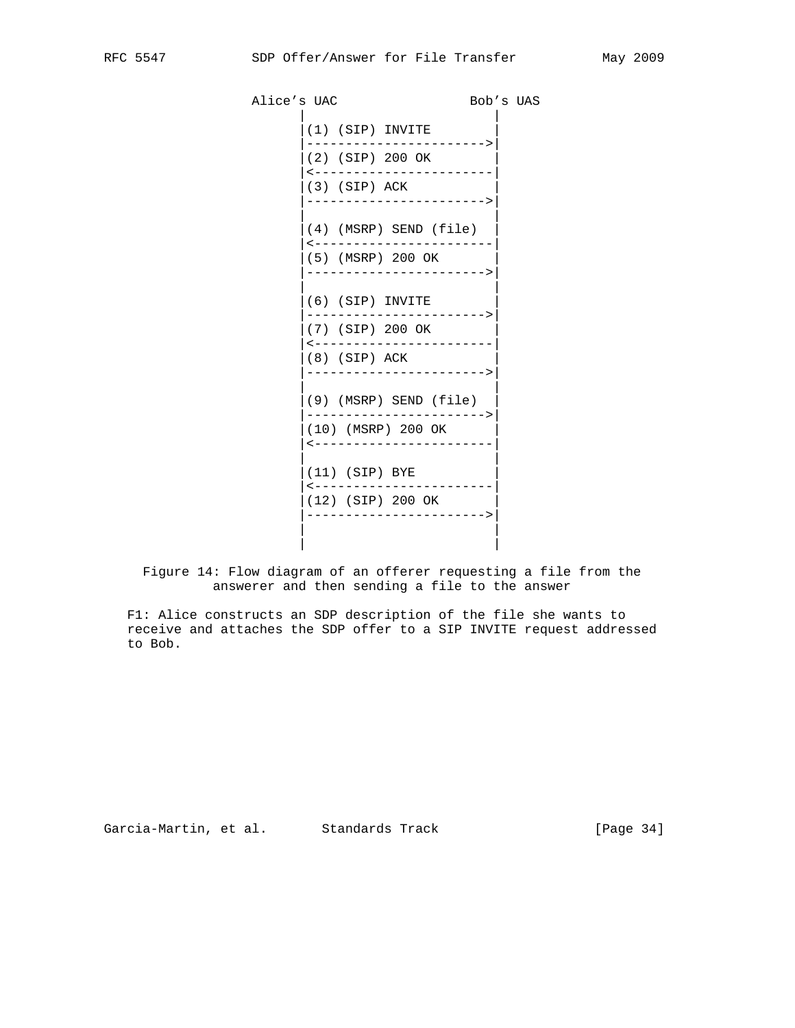Alice's UAC Bob's UAS | | |(1) (SIP) INVITE | |----------------------->| |(2) (SIP) 200 OK | |<-----------------------| |(3) (SIP) ACK | |----------------------->| | | |(4) (MSRP) SEND (file) | |<-----------------------| |(5) (MSRP) 200 OK | |----------------------->| | | |(6) (SIP) INVITE | |----------------------->| |(7) (SIP) 200 OK | |<-----------------------| |(8) (SIP) ACK | |----------------------->| | | |(9) (MSRP) SEND (file) | |----------------------->| |(10) (MSRP) 200 OK | |<-----------------------| | | |(11) (SIP) BYE | |<-----------------------| |(12) (SIP) 200 OK | |----------------------->| | | | |

 Figure 14: Flow diagram of an offerer requesting a file from the answerer and then sending a file to the answer

 F1: Alice constructs an SDP description of the file she wants to receive and attaches the SDP offer to a SIP INVITE request addressed to Bob.

Garcia-Martin, et al. Standards Track [Page 34]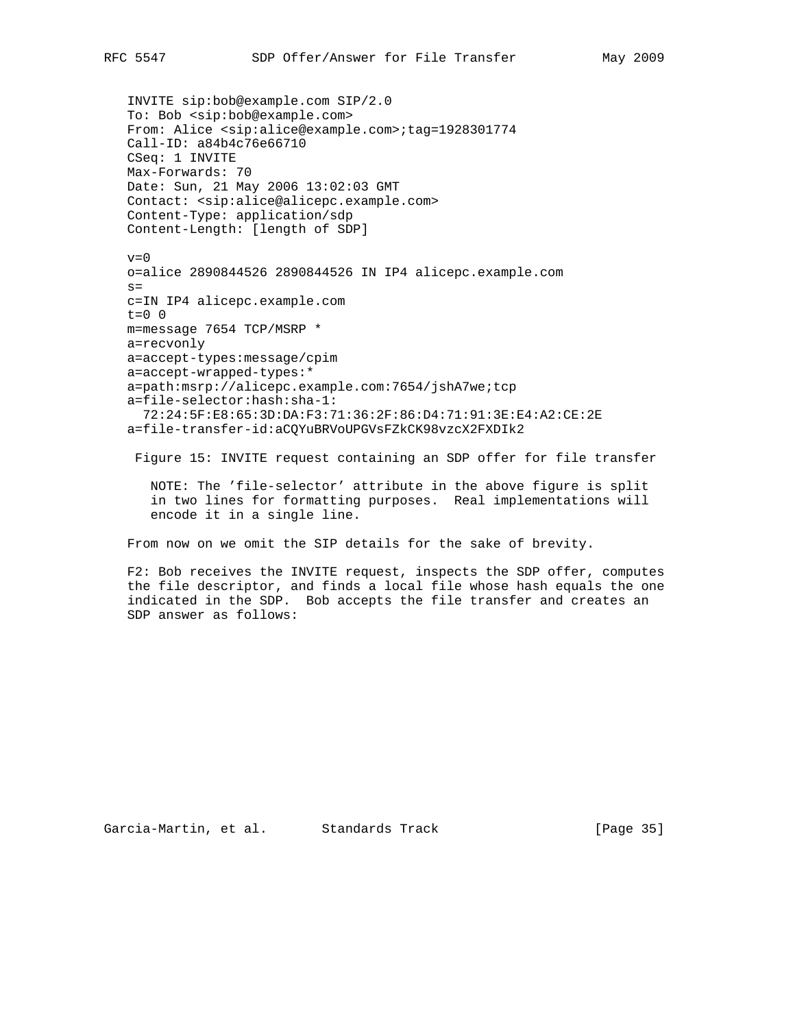INVITE sip:bob@example.com SIP/2.0 To: Bob <sip:bob@example.com> From: Alice <sip:alice@example.com>;tag=1928301774 Call-ID: a84b4c76e66710 CSeq: 1 INVITE Max-Forwards: 70 Date: Sun, 21 May 2006 13:02:03 GMT Contact: <sip:alice@alicepc.example.com> Content-Type: application/sdp Content-Length: [length of SDP]  $v=0$  o=alice 2890844526 2890844526 IN IP4 alicepc.example.com  $s=$  c=IN IP4 alicepc.example.com t=0 0 m=message 7654 TCP/MSRP \* a=recvonly a=accept-types:message/cpim a=accept-wrapped-types:\* a=path:msrp://alicepc.example.com:7654/jshA7we;tcp a=file-selector:hash:sha-1: 72:24:5F:E8:65:3D:DA:F3:71:36:2F:86:D4:71:91:3E:E4:A2:CE:2E a=file-transfer-id:aCQYuBRVoUPGVsFZkCK98vzcX2FXDIk2

Figure 15: INVITE request containing an SDP offer for file transfer

 NOTE: The 'file-selector' attribute in the above figure is split in two lines for formatting purposes. Real implementations will encode it in a single line.

From now on we omit the SIP details for the sake of brevity.

 F2: Bob receives the INVITE request, inspects the SDP offer, computes the file descriptor, and finds a local file whose hash equals the one indicated in the SDP. Bob accepts the file transfer and creates an SDP answer as follows: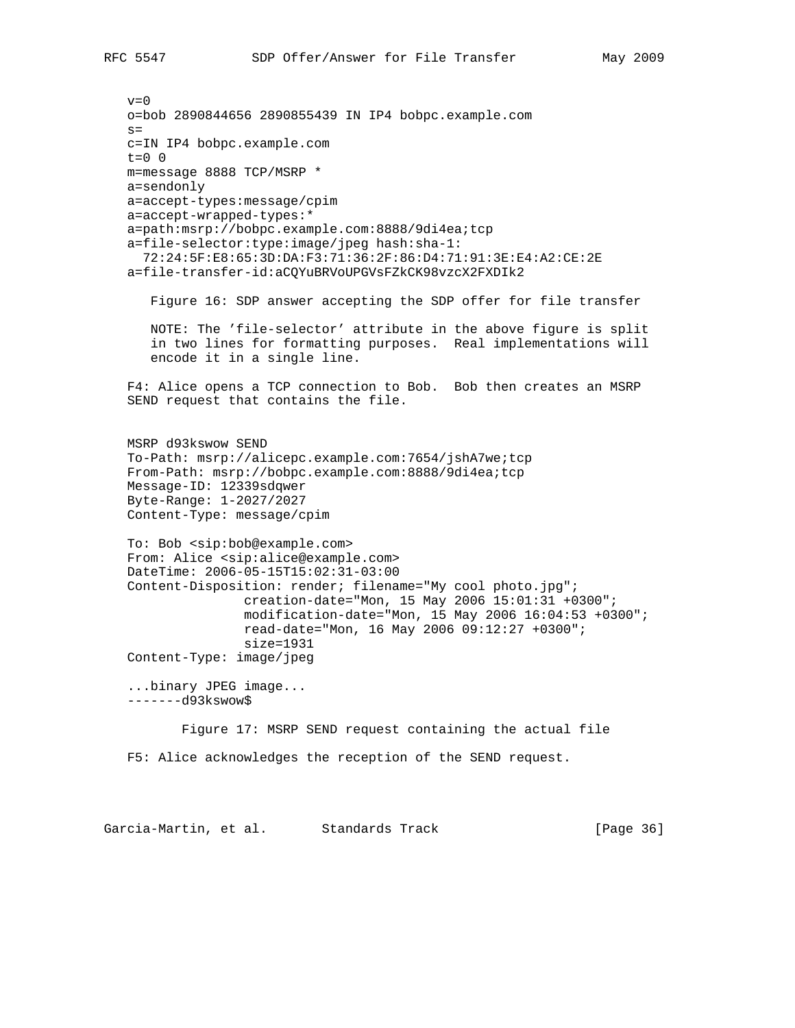```
v=0 o=bob 2890844656 2890855439 IN IP4 bobpc.example.com
s= c=IN IP4 bobpc.example.com
t=0 0
 m=message 8888 TCP/MSRP *
 a=sendonly
 a=accept-types:message/cpim
 a=accept-wrapped-types:*
 a=path:msrp://bobpc.example.com:8888/9di4ea;tcp
 a=file-selector:type:image/jpeg hash:sha-1:
   72:24:5F:E8:65:3D:DA:F3:71:36:2F:86:D4:71:91:3E:E4:A2:CE:2E
 a=file-transfer-id:aCQYuBRVoUPGVsFZkCK98vzcX2FXDIk2
    Figure 16: SDP answer accepting the SDP offer for file transfer
    NOTE: The 'file-selector' attribute in the above figure is split
    in two lines for formatting purposes. Real implementations will
```
encode it in a single line.

 F4: Alice opens a TCP connection to Bob. Bob then creates an MSRP SEND request that contains the file.

 MSRP d93kswow SEND To-Path: msrp://alicepc.example.com:7654/jshA7we;tcp From-Path: msrp://bobpc.example.com:8888/9di4ea;tcp Message-ID: 12339sdqwer Byte-Range: 1-2027/2027 Content-Type: message/cpim

 To: Bob <sip:bob@example.com> From: Alice <sip:alice@example.com> DateTime: 2006-05-15T15:02:31-03:00 Content-Disposition: render; filename="My cool photo.jpg"; creation-date="Mon, 15 May 2006 15:01:31 +0300"; modification-date="Mon, 15 May 2006 16:04:53 +0300"; read-date="Mon, 16 May 2006 09:12:27 +0300"; size=1931 Content-Type: image/jpeg

 ...binary JPEG image... -------d93kswow\$

 Figure 17: MSRP SEND request containing the actual file F5: Alice acknowledges the reception of the SEND request.

Garcia-Martin, et al. Standards Track [Page 36]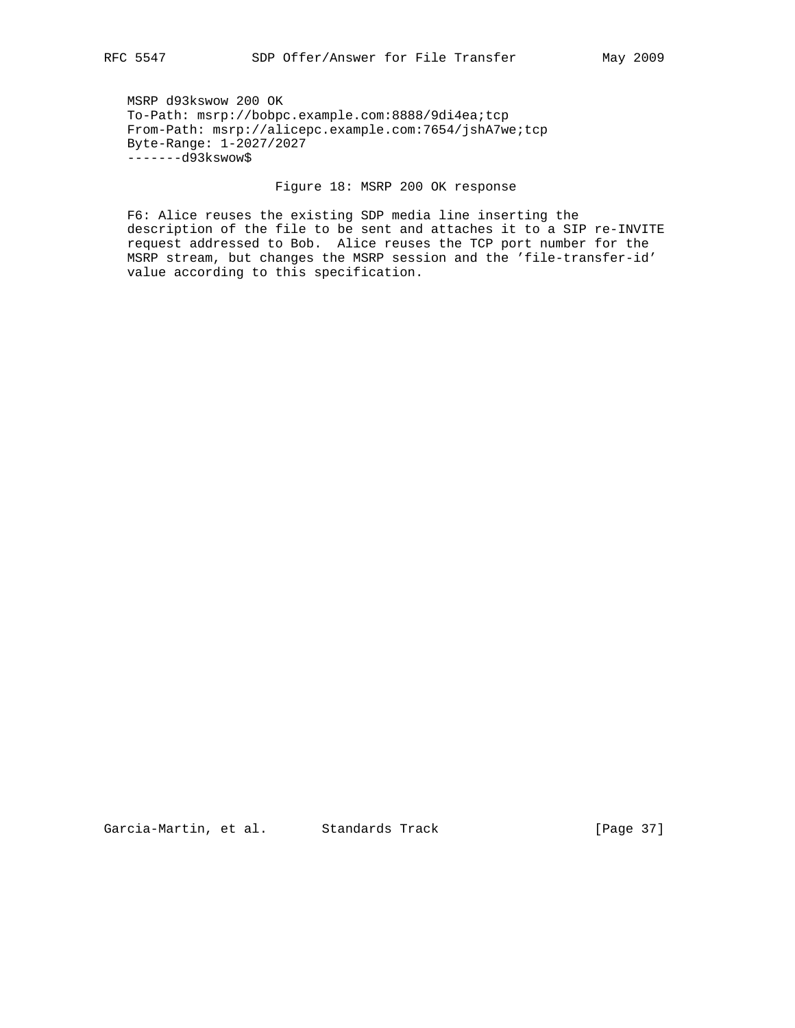MSRP d93kswow 200 OK To-Path: msrp://bobpc.example.com:8888/9di4ea;tcp From-Path: msrp://alicepc.example.com:7654/jshA7we;tcp Byte-Range: 1-2027/2027 -------d93kswow\$

## Figure 18: MSRP 200 OK response

 F6: Alice reuses the existing SDP media line inserting the description of the file to be sent and attaches it to a SIP re-INVITE request addressed to Bob. Alice reuses the TCP port number for the MSRP stream, but changes the MSRP session and the 'file-transfer-id' value according to this specification.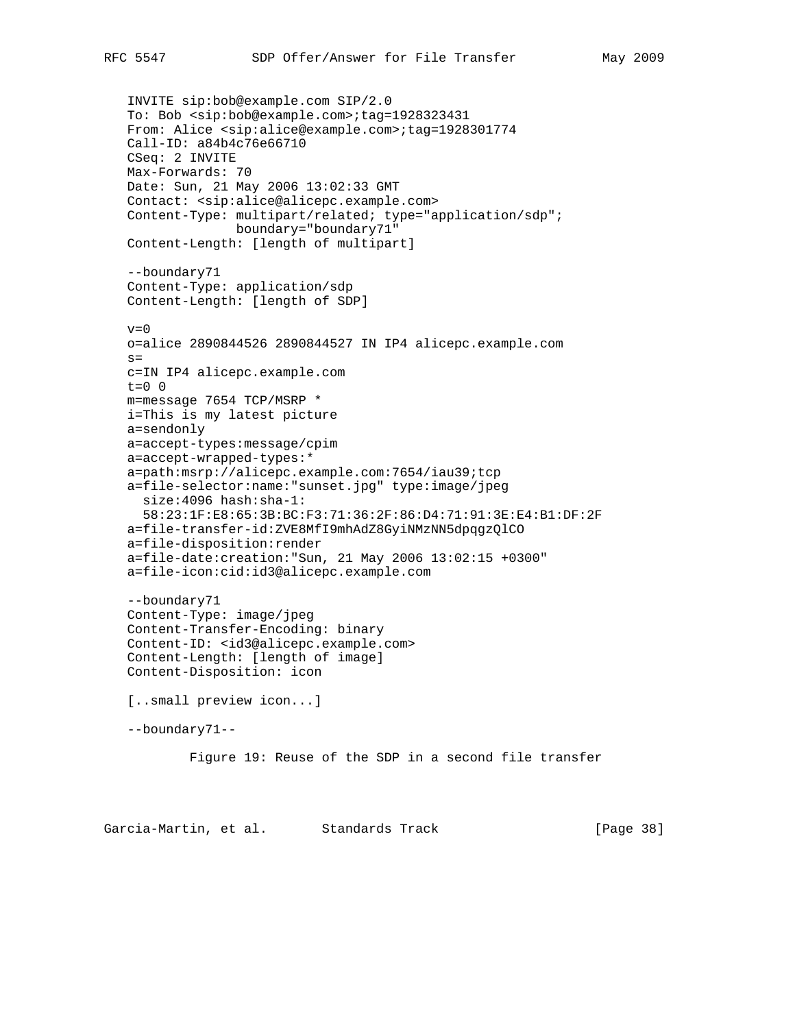```
 INVITE sip:bob@example.com SIP/2.0
 To: Bob <sip:bob@example.com>;tag=1928323431
 From: Alice <sip:alice@example.com>;tag=1928301774
 Call-ID: a84b4c76e66710
 CSeq: 2 INVITE
 Max-Forwards: 70
 Date: Sun, 21 May 2006 13:02:33 GMT
 Contact: <sip:alice@alicepc.example.com>
 Content-Type: multipart/related; type="application/sdp";
               boundary="boundary71"
 Content-Length: [length of multipart]
 --boundary71
 Content-Type: application/sdp
 Content-Length: [length of SDP]
v=0 o=alice 2890844526 2890844527 IN IP4 alicepc.example.com
s= c=IN IP4 alicepc.example.com
t=0 0
 m=message 7654 TCP/MSRP *
 i=This is my latest picture
 a=sendonly
 a=accept-types:message/cpim
 a=accept-wrapped-types:*
 a=path:msrp://alicepc.example.com:7654/iau39;tcp
 a=file-selector:name:"sunset.jpg" type:image/jpeg
   size:4096 hash:sha-1:
   58:23:1F:E8:65:3B:BC:F3:71:36:2F:86:D4:71:91:3E:E4:B1:DF:2F
 a=file-transfer-id:ZVE8MfI9mhAdZ8GyiNMzNN5dpqgzQlCO
 a=file-disposition:render
 a=file-date:creation:"Sun, 21 May 2006 13:02:15 +0300"
 a=file-icon:cid:id3@alicepc.example.com
 --boundary71
 Content-Type: image/jpeg
 Content-Transfer-Encoding: binary
 Content-ID: <id3@alicepc.example.com>
 Content-Length: [length of image]
 Content-Disposition: icon
 [..small preview icon...]
 --boundary71--
         Figure 19: Reuse of the SDP in a second file transfer
```
Garcia-Martin, et al. Standards Track [Page 38]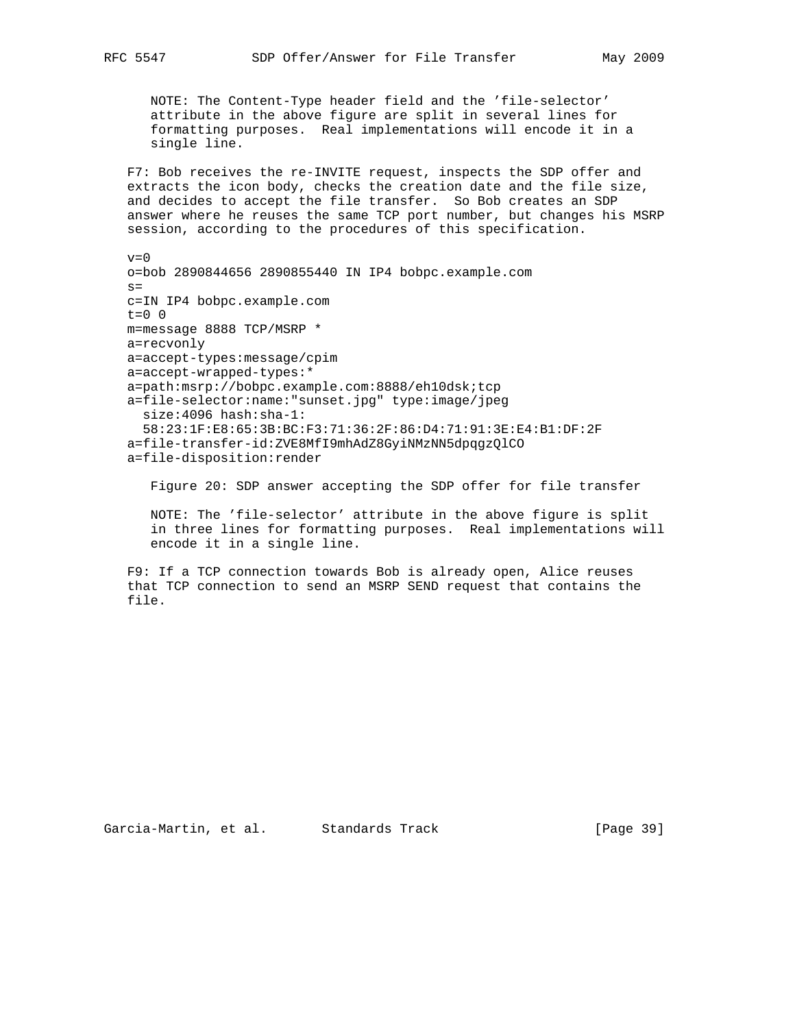NOTE: The Content-Type header field and the 'file-selector' attribute in the above figure are split in several lines for formatting purposes. Real implementations will encode it in a single line.

 F7: Bob receives the re-INVITE request, inspects the SDP offer and extracts the icon body, checks the creation date and the file size, and decides to accept the file transfer. So Bob creates an SDP answer where he reuses the same TCP port number, but changes his MSRP session, according to the procedures of this specification.

 $v=0$  o=bob 2890844656 2890855440 IN IP4 bobpc.example.com  $s=$  c=IN IP4 bobpc.example.com  $t=0$  0 m=message 8888 TCP/MSRP \* a=recvonly a=accept-types:message/cpim a=accept-wrapped-types:\* a=path:msrp://bobpc.example.com:8888/eh10dsk;tcp a=file-selector:name:"sunset.jpg" type:image/jpeg size:4096 hash:sha-1: 58:23:1F:E8:65:3B:BC:F3:71:36:2F:86:D4:71:91:3E:E4:B1:DF:2F a=file-transfer-id:ZVE8MfI9mhAdZ8GyiNMzNN5dpqgzQlCO a=file-disposition:render

Figure 20: SDP answer accepting the SDP offer for file transfer

 NOTE: The 'file-selector' attribute in the above figure is split in three lines for formatting purposes. Real implementations will encode it in a single line.

 F9: If a TCP connection towards Bob is already open, Alice reuses that TCP connection to send an MSRP SEND request that contains the file.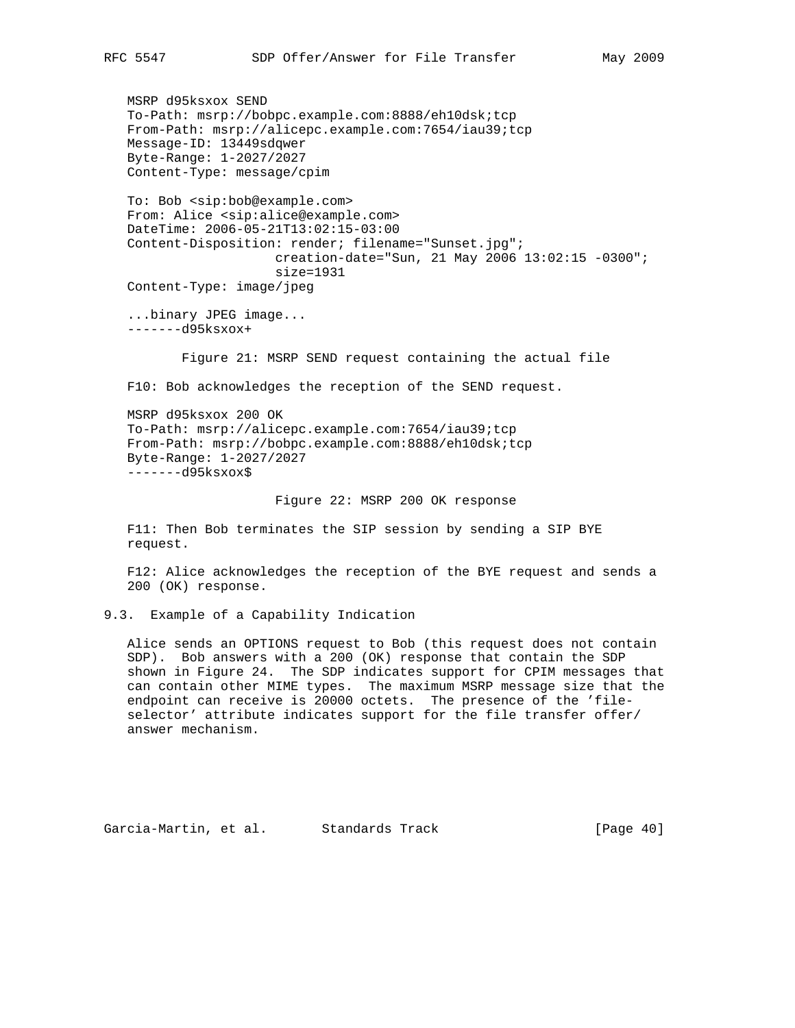MSRP d95ksxox SEND To-Path: msrp://bobpc.example.com:8888/eh10dsk;tcp From-Path: msrp://alicepc.example.com:7654/iau39;tcp Message-ID: 13449sdqwer Byte-Range: 1-2027/2027 Content-Type: message/cpim To: Bob <sip:bob@example.com> From: Alice <sip:alice@example.com> DateTime: 2006-05-21T13:02:15-03:00 Content-Disposition: render; filename="Sunset.jpg"; creation-date="Sun, 21 May 2006 13:02:15 -0300"; size=1931 Content-Type: image/jpeg ...binary JPEG image... -------d95ksxox+ Figure 21: MSRP SEND request containing the actual file F10: Bob acknowledges the reception of the SEND request. MSRP d95ksxox 200 OK To-Path: msrp://alicepc.example.com:7654/iau39;tcp From-Path: msrp://bobpc.example.com:8888/eh10dsk;tcp Byte-Range: 1-2027/2027 -------d95ksxox\$ Figure 22: MSRP 200 OK response F11: Then Bob terminates the SIP session by sending a SIP BYE request. F12: Alice acknowledges the reception of the BYE request and sends a 200 (OK) response. 9.3. Example of a Capability Indication Alice sends an OPTIONS request to Bob (this request does not contain

 SDP). Bob answers with a 200 (OK) response that contain the SDP shown in Figure 24. The SDP indicates support for CPIM messages that can contain other MIME types. The maximum MSRP message size that the endpoint can receive is 20000 octets. The presence of the 'file selector' attribute indicates support for the file transfer offer/ answer mechanism.

Garcia-Martin, et al. Standards Track [Page 40]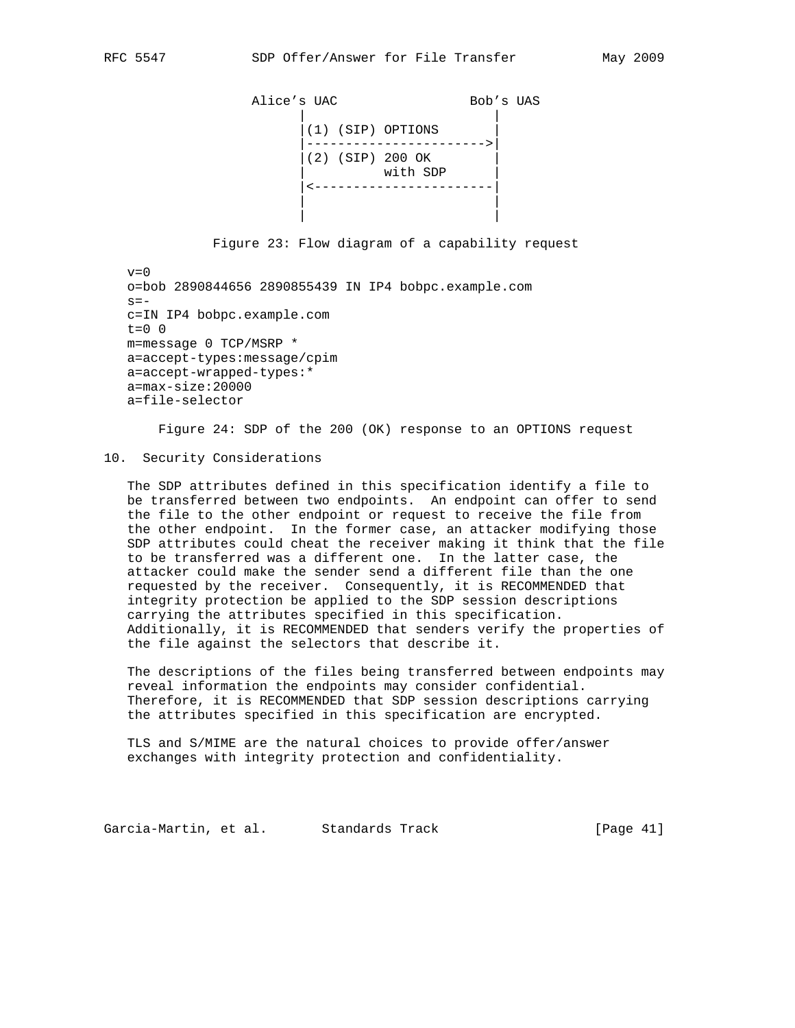Alice's UAC Bob's UAS | | |(1) (SIP) OPTIONS | |----------------------->| |(2) (SIP) 200 OK | with SDP |<-----------------------| | | | |

Figure 23: Flow diagram of a capability request

 $v=0$  o=bob 2890844656 2890855439 IN IP4 bobpc.example.com  $s=$  c=IN IP4 bobpc.example.com  $t=0$  0 m=message 0 TCP/MSRP \* a=accept-types:message/cpim a=accept-wrapped-types:\* a=max-size:20000 a=file-selector

Figure 24: SDP of the 200 (OK) response to an OPTIONS request

#### 10. Security Considerations

 The SDP attributes defined in this specification identify a file to be transferred between two endpoints. An endpoint can offer to send the file to the other endpoint or request to receive the file from the other endpoint. In the former case, an attacker modifying those SDP attributes could cheat the receiver making it think that the file to be transferred was a different one. In the latter case, the attacker could make the sender send a different file than the one requested by the receiver. Consequently, it is RECOMMENDED that integrity protection be applied to the SDP session descriptions carrying the attributes specified in this specification. Additionally, it is RECOMMENDED that senders verify the properties of the file against the selectors that describe it.

 The descriptions of the files being transferred between endpoints may reveal information the endpoints may consider confidential. Therefore, it is RECOMMENDED that SDP session descriptions carrying the attributes specified in this specification are encrypted.

 TLS and S/MIME are the natural choices to provide offer/answer exchanges with integrity protection and confidentiality.

Garcia-Martin, et al. Standards Track [Page 41]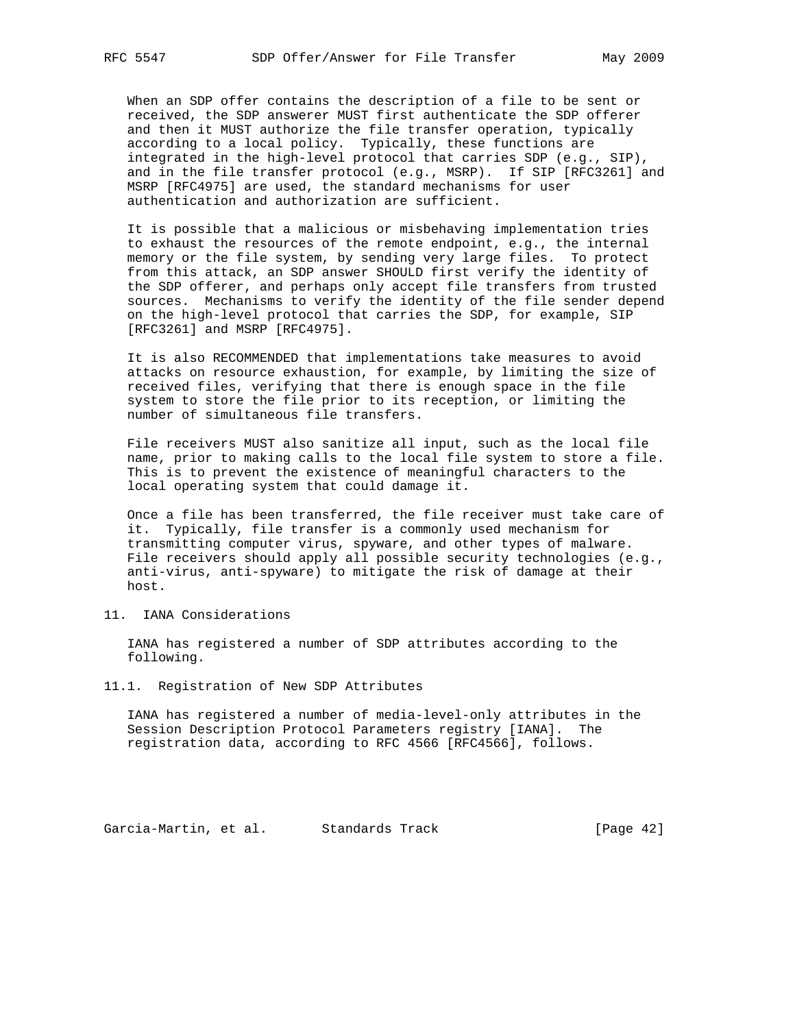When an SDP offer contains the description of a file to be sent or received, the SDP answerer MUST first authenticate the SDP offerer and then it MUST authorize the file transfer operation, typically according to a local policy. Typically, these functions are integrated in the high-level protocol that carries SDP (e.g., SIP), and in the file transfer protocol (e.g., MSRP). If SIP [RFC3261] and MSRP [RFC4975] are used, the standard mechanisms for user authentication and authorization are sufficient.

 It is possible that a malicious or misbehaving implementation tries to exhaust the resources of the remote endpoint, e.g., the internal memory or the file system, by sending very large files. To protect from this attack, an SDP answer SHOULD first verify the identity of the SDP offerer, and perhaps only accept file transfers from trusted sources. Mechanisms to verify the identity of the file sender depend on the high-level protocol that carries the SDP, for example, SIP [RFC3261] and MSRP [RFC4975].

 It is also RECOMMENDED that implementations take measures to avoid attacks on resource exhaustion, for example, by limiting the size of received files, verifying that there is enough space in the file system to store the file prior to its reception, or limiting the number of simultaneous file transfers.

 File receivers MUST also sanitize all input, such as the local file name, prior to making calls to the local file system to store a file. This is to prevent the existence of meaningful characters to the local operating system that could damage it.

 Once a file has been transferred, the file receiver must take care of it. Typically, file transfer is a commonly used mechanism for transmitting computer virus, spyware, and other types of malware. File receivers should apply all possible security technologies (e.g., anti-virus, anti-spyware) to mitigate the risk of damage at their host.

11. IANA Considerations

 IANA has registered a number of SDP attributes according to the following.

11.1. Registration of New SDP Attributes

 IANA has registered a number of media-level-only attributes in the Session Description Protocol Parameters registry [IANA]. The registration data, according to RFC 4566 [RFC4566], follows.

Garcia-Martin, et al. Standards Track [Page 42]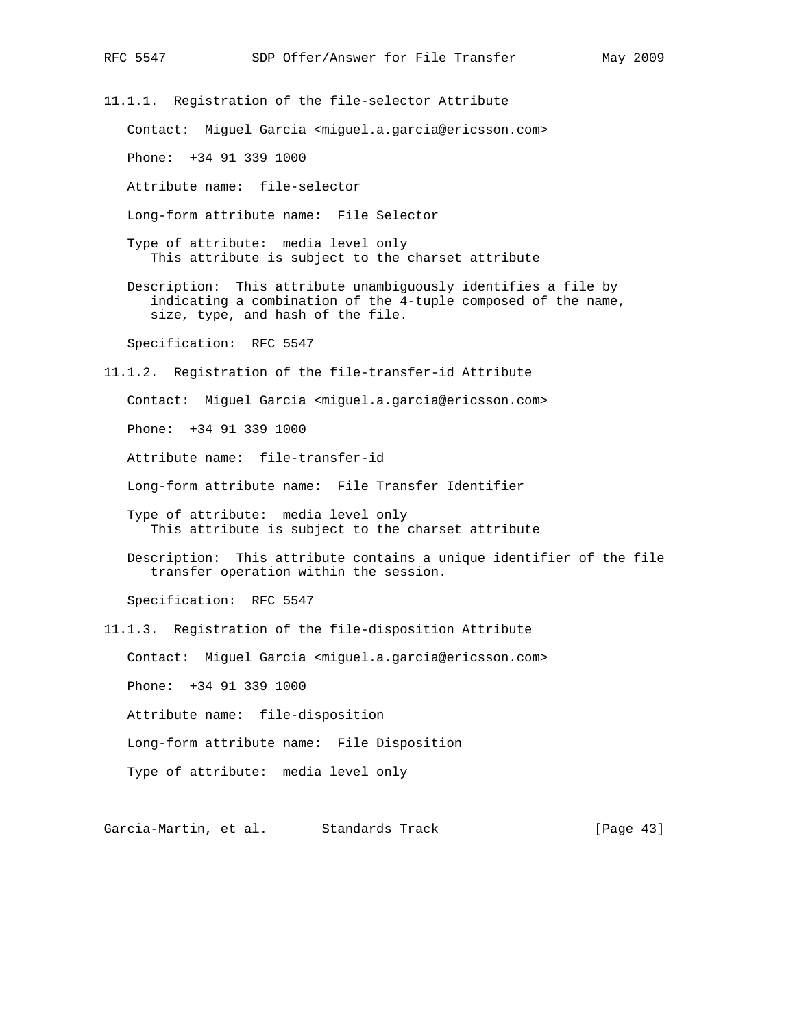11.1.1. Registration of the file-selector Attribute Contact: Miguel Garcia <miguel.a.garcia@ericsson.com> Phone: +34 91 339 1000 Attribute name: file-selector Long-form attribute name: File Selector Type of attribute: media level only This attribute is subject to the charset attribute Description: This attribute unambiguously identifies a file by indicating a combination of the 4-tuple composed of the name, size, type, and hash of the file. Specification: RFC 5547 11.1.2. Registration of the file-transfer-id Attribute Contact: Miguel Garcia <miguel.a.garcia@ericsson.com> Phone: +34 91 339 1000 Attribute name: file-transfer-id Long-form attribute name: File Transfer Identifier Type of attribute: media level only This attribute is subject to the charset attribute Description: This attribute contains a unique identifier of the file transfer operation within the session. Specification: RFC 5547 11.1.3. Registration of the file-disposition Attribute Contact: Miguel Garcia <miguel.a.garcia@ericsson.com> Phone: +34 91 339 1000 Attribute name: file-disposition Long-form attribute name: File Disposition Type of attribute: media level only

Garcia-Martin, et al. Standards Track [Page 43]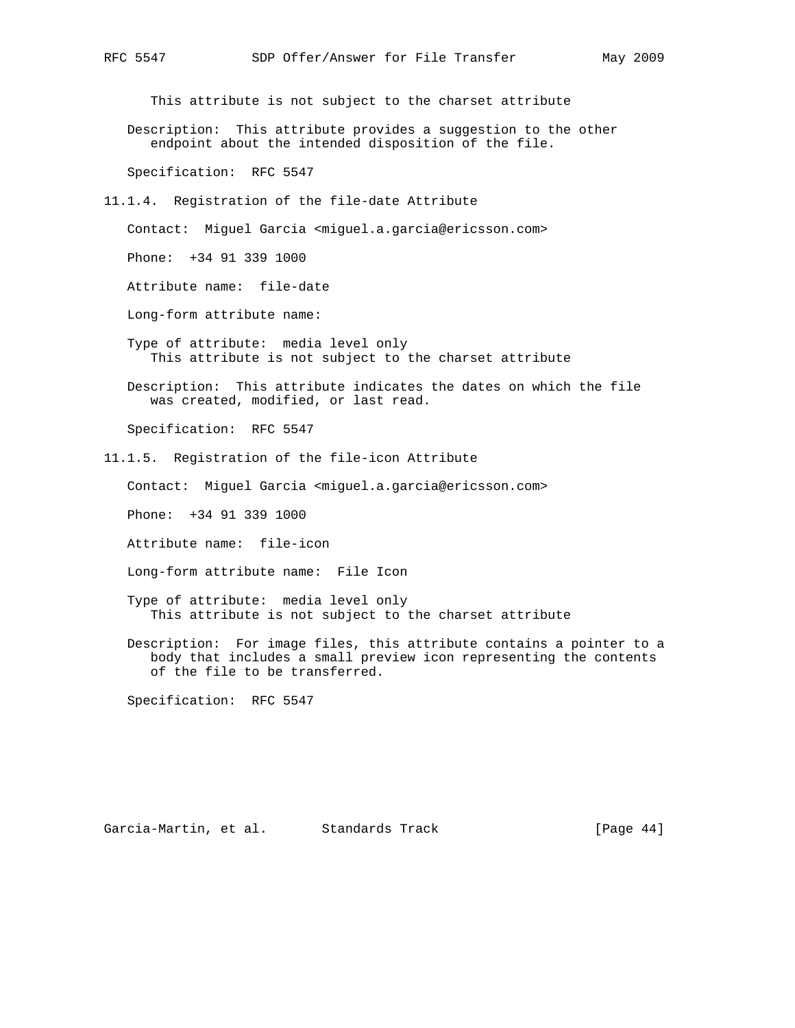This attribute is not subject to the charset attribute

 Description: This attribute provides a suggestion to the other endpoint about the intended disposition of the file.

Specification: RFC 5547

11.1.4. Registration of the file-date Attribute

Contact: Miguel Garcia <miguel.a.garcia@ericsson.com>

Phone: +34 91 339 1000

Attribute name: file-date

Long-form attribute name:

- Type of attribute: media level only This attribute is not subject to the charset attribute
- Description: This attribute indicates the dates on which the file was created, modified, or last read.

Specification: RFC 5547

11.1.5. Registration of the file-icon Attribute

Contact: Miguel Garcia <miguel.a.garcia@ericsson.com>

Phone: +34 91 339 1000

Attribute name: file-icon

Long-form attribute name: File Icon

- Type of attribute: media level only This attribute is not subject to the charset attribute
- Description: For image files, this attribute contains a pointer to a body that includes a small preview icon representing the contents of the file to be transferred.

Specification: RFC 5547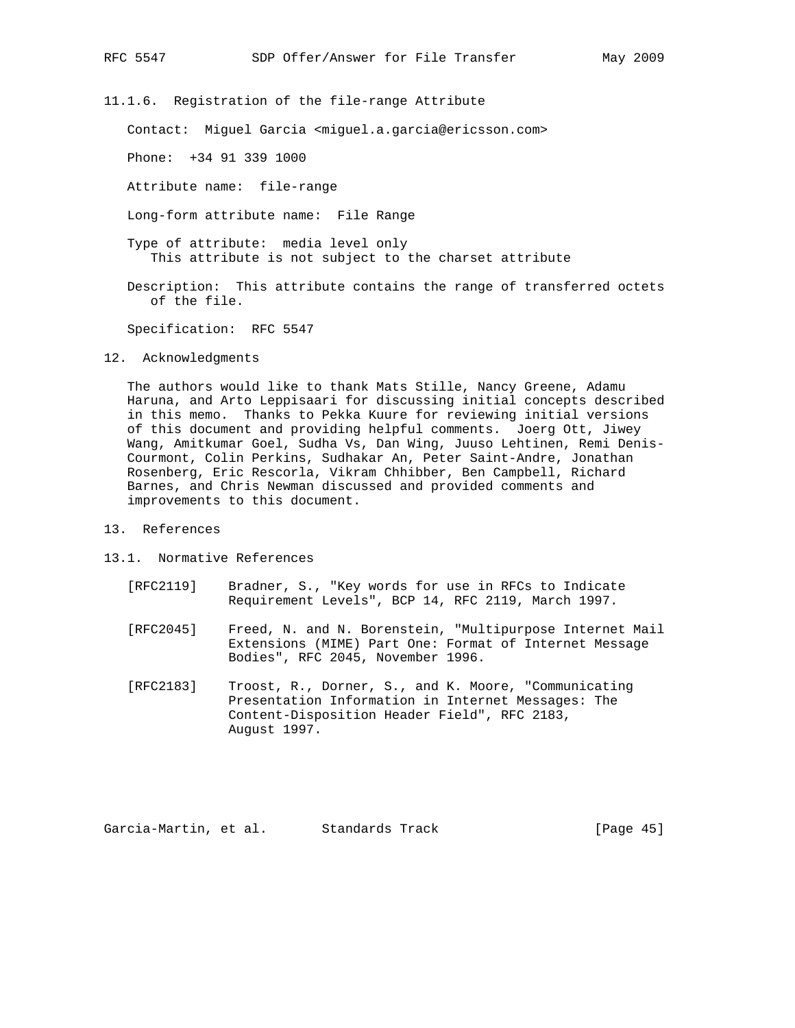11.1.6. Registration of the file-range Attribute

Contact: Miguel Garcia <miguel.a.garcia@ericsson.com>

Phone: +34 91 339 1000

Attribute name: file-range

Long-form attribute name: File Range

 Type of attribute: media level only This attribute is not subject to the charset attribute

 Description: This attribute contains the range of transferred octets of the file.

Specification: RFC 5547

12. Acknowledgments

 The authors would like to thank Mats Stille, Nancy Greene, Adamu Haruna, and Arto Leppisaari for discussing initial concepts described in this memo. Thanks to Pekka Kuure for reviewing initial versions of this document and providing helpful comments. Joerg Ott, Jiwey Wang, Amitkumar Goel, Sudha Vs, Dan Wing, Juuso Lehtinen, Remi Denis- Courmont, Colin Perkins, Sudhakar An, Peter Saint-Andre, Jonathan Rosenberg, Eric Rescorla, Vikram Chhibber, Ben Campbell, Richard Barnes, and Chris Newman discussed and provided comments and improvements to this document.

- 13. References
- 13.1. Normative References
	- [RFC2119] Bradner, S., "Key words for use in RFCs to Indicate Requirement Levels", BCP 14, RFC 2119, March 1997.
	- [RFC2045] Freed, N. and N. Borenstein, "Multipurpose Internet Mail Extensions (MIME) Part One: Format of Internet Message Bodies", RFC 2045, November 1996.
	- [RFC2183] Troost, R., Dorner, S., and K. Moore, "Communicating Presentation Information in Internet Messages: The Content-Disposition Header Field", RFC 2183, August 1997.

Garcia-Martin, et al. Standards Track [Page 45]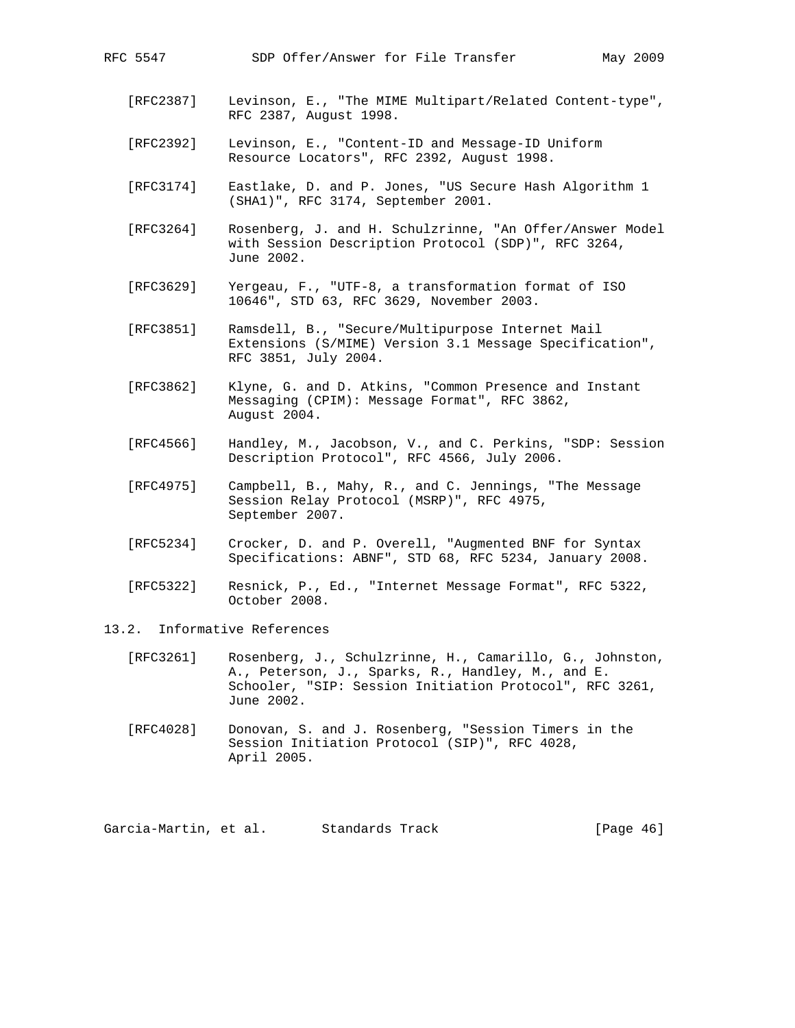- [RFC2387] Levinson, E., "The MIME Multipart/Related Content-type", RFC 2387, August 1998.
- [RFC2392] Levinson, E., "Content-ID and Message-ID Uniform Resource Locators", RFC 2392, August 1998.
- [RFC3174] Eastlake, D. and P. Jones, "US Secure Hash Algorithm 1 (SHA1)", RFC 3174, September 2001.
- [RFC3264] Rosenberg, J. and H. Schulzrinne, "An Offer/Answer Model with Session Description Protocol (SDP)", RFC 3264, June 2002.
- [RFC3629] Yergeau, F., "UTF-8, a transformation format of ISO 10646", STD 63, RFC 3629, November 2003.
- [RFC3851] Ramsdell, B., "Secure/Multipurpose Internet Mail Extensions (S/MIME) Version 3.1 Message Specification", RFC 3851, July 2004.
- [RFC3862] Klyne, G. and D. Atkins, "Common Presence and Instant Messaging (CPIM): Message Format", RFC 3862, August 2004.
- [RFC4566] Handley, M., Jacobson, V., and C. Perkins, "SDP: Session Description Protocol", RFC 4566, July 2006.
- [RFC4975] Campbell, B., Mahy, R., and C. Jennings, "The Message Session Relay Protocol (MSRP)", RFC 4975, September 2007.
- [RFC5234] Crocker, D. and P. Overell, "Augmented BNF for Syntax Specifications: ABNF", STD 68, RFC 5234, January 2008.
- [RFC5322] Resnick, P., Ed., "Internet Message Format", RFC 5322, October 2008.
- 13.2. Informative References
	- [RFC3261] Rosenberg, J., Schulzrinne, H., Camarillo, G., Johnston, A., Peterson, J., Sparks, R., Handley, M., and E. Schooler, "SIP: Session Initiation Protocol", RFC 3261, June 2002.
	- [RFC4028] Donovan, S. and J. Rosenberg, "Session Timers in the Session Initiation Protocol (SIP)", RFC 4028, April 2005.

Garcia-Martin, et al. Standards Track [Page 46]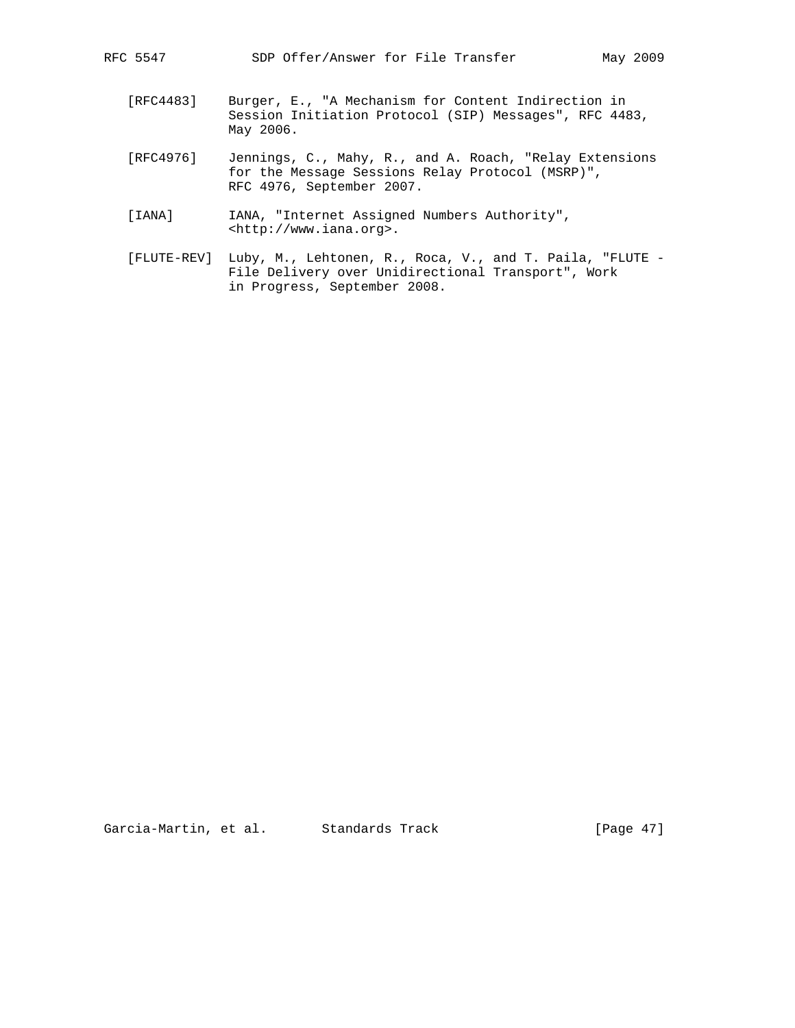- [RFC4483] Burger, E., "A Mechanism for Content Indirection in Session Initiation Protocol (SIP) Messages", RFC 4483, May 2006.
- [RFC4976] Jennings, C., Mahy, R., and A. Roach, "Relay Extensions for the Message Sessions Relay Protocol (MSRP)", RFC 4976, September 2007.
- [IANA] IANA, "Internet Assigned Numbers Authority", <http://www.iana.org>.
- [FLUTE-REV] Luby, M., Lehtonen, R., Roca, V., and T. Paila, "FLUTE File Delivery over Unidirectional Transport", Work in Progress, September 2008.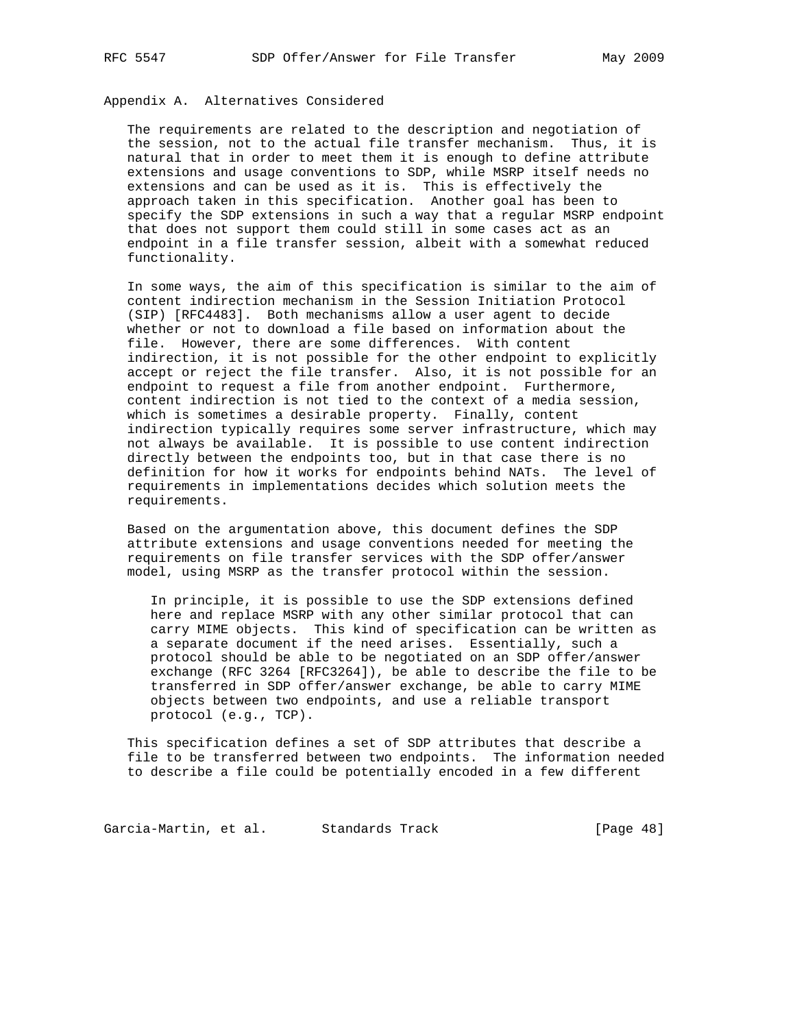Appendix A. Alternatives Considered

 The requirements are related to the description and negotiation of the session, not to the actual file transfer mechanism. Thus, it is natural that in order to meet them it is enough to define attribute extensions and usage conventions to SDP, while MSRP itself needs no extensions and can be used as it is. This is effectively the approach taken in this specification. Another goal has been to specify the SDP extensions in such a way that a regular MSRP endpoint that does not support them could still in some cases act as an endpoint in a file transfer session, albeit with a somewhat reduced functionality.

 In some ways, the aim of this specification is similar to the aim of content indirection mechanism in the Session Initiation Protocol (SIP) [RFC4483]. Both mechanisms allow a user agent to decide whether or not to download a file based on information about the file. However, there are some differences. With content indirection, it is not possible for the other endpoint to explicitly accept or reject the file transfer. Also, it is not possible for an endpoint to request a file from another endpoint. Furthermore, content indirection is not tied to the context of a media session, which is sometimes a desirable property. Finally, content indirection typically requires some server infrastructure, which may not always be available. It is possible to use content indirection directly between the endpoints too, but in that case there is no definition for how it works for endpoints behind NATs. The level of requirements in implementations decides which solution meets the requirements.

 Based on the argumentation above, this document defines the SDP attribute extensions and usage conventions needed for meeting the requirements on file transfer services with the SDP offer/answer model, using MSRP as the transfer protocol within the session.

 In principle, it is possible to use the SDP extensions defined here and replace MSRP with any other similar protocol that can carry MIME objects. This kind of specification can be written as a separate document if the need arises. Essentially, such a protocol should be able to be negotiated on an SDP offer/answer exchange (RFC 3264 [RFC3264]), be able to describe the file to be transferred in SDP offer/answer exchange, be able to carry MIME objects between two endpoints, and use a reliable transport protocol (e.g., TCP).

 This specification defines a set of SDP attributes that describe a file to be transferred between two endpoints. The information needed to describe a file could be potentially encoded in a few different

Garcia-Martin, et al. Standards Track [Page 48]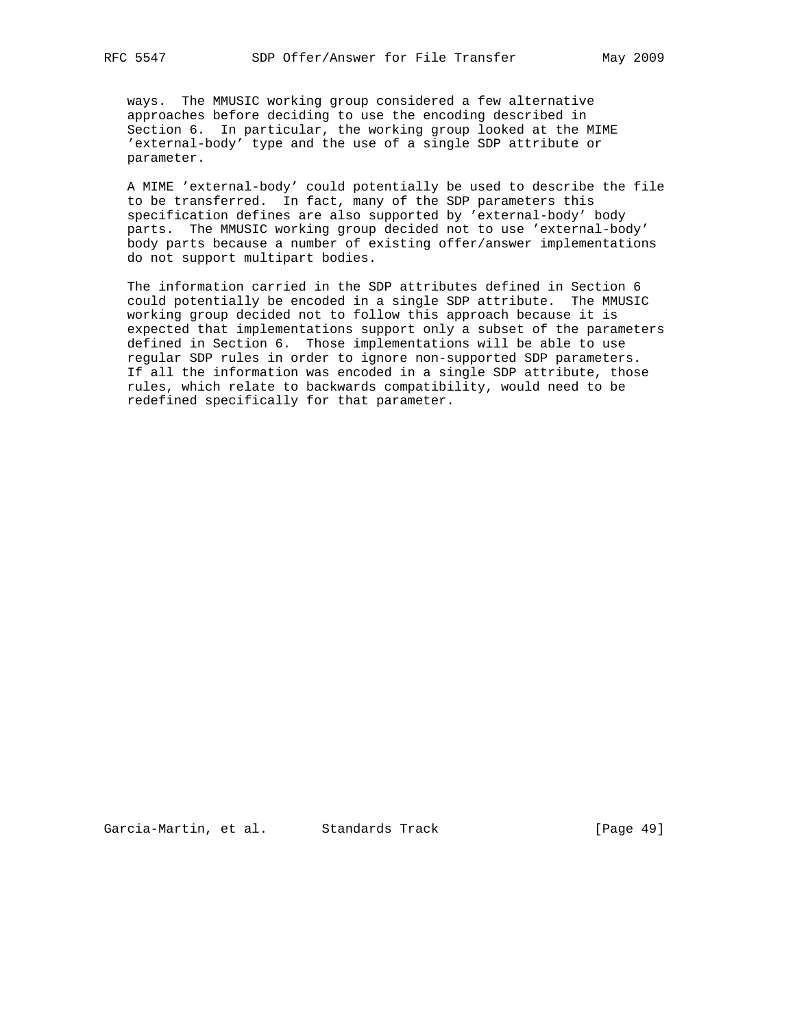ways. The MMUSIC working group considered a few alternative approaches before deciding to use the encoding described in Section 6. In particular, the working group looked at the MIME 'external-body' type and the use of a single SDP attribute or parameter.

 A MIME 'external-body' could potentially be used to describe the file to be transferred. In fact, many of the SDP parameters this specification defines are also supported by 'external-body' body parts. The MMUSIC working group decided not to use 'external-body' body parts because a number of existing offer/answer implementations do not support multipart bodies.

 The information carried in the SDP attributes defined in Section 6 could potentially be encoded in a single SDP attribute. The MMUSIC working group decided not to follow this approach because it is expected that implementations support only a subset of the parameters defined in Section 6. Those implementations will be able to use regular SDP rules in order to ignore non-supported SDP parameters. If all the information was encoded in a single SDP attribute, those rules, which relate to backwards compatibility, would need to be redefined specifically for that parameter.